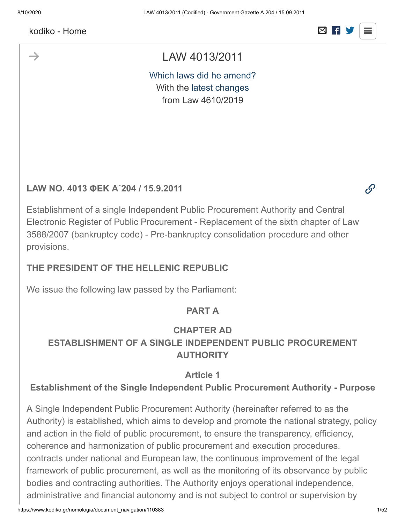$\rightarrow$ 



 $\mathscr{O}$ 

# LAW 4013/2011

[Which laws did he amend?](javascript:void(0);) With the [latest changes](javascript:void(0);) from Law 4610/2019

#### **LAW NO. 4013 ΦΕΚ Α΄204 / 15.9.2011**

Establishment of a single Independent Public Procurement Authority and Central Electronic Register of Public Procurement - Replacement of the sixth chapter of Law 3588/2007 (bankruptcy code) - Pre-bankruptcy consolidation procedure and other provisions.

### **THE PRESIDENT OF THE HELLENIC REPUBLIC**

We issue the following law passed by the Parliament:

#### **PART A**

### **CHAPTER AD ESTABLISHMENT OF A SINGLE INDEPENDENT PUBLIC PROCUREMENT AUTHORITY**

#### **Article 1**

#### **Establishment of the Single Independent Public Procurement Authority - Purpose**

A Single Independent Public Procurement Authority (hereinafter referred to as the Authority) is established, which aims to develop and promote the national strategy, policy and action in the field of public procurement, to ensure the transparency, efficiency, coherence and harmonization of public procurement and execution procedures. contracts under national and European law, the continuous improvement of the legal framework of public procurement, as well as the monitoring of its observance by public bodies and contracting authorities. The Authority enjoys operational independence, administrative and financial autonomy and is not subject to control or supervision by

https://www.kodiko.gr/nomologia/document\_navigation/110383 1/52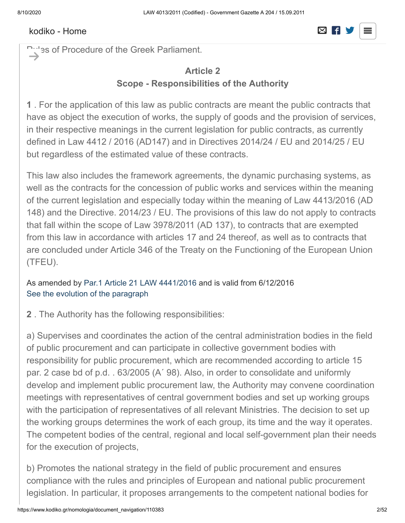#### government bodies or any other independent or administrative authority is administrative authority is  $\Box$  $s_{\text{c}}$  and  $s_{\text{c}}$  are control of the Greek Parliament in accordance with a control of the Greek Parliament in accordance with a control of the Greek Parliament in accordance with a control of the Greek Parliament in

**Pulles of Procedure of the Greek Parliament.**  $\rightarrow$ 

# **Article 2 Scope - Responsibilities of the Authority**

**1** . For the application of this law as public contracts are meant the public contracts that have as object the execution of works, the supply of goods and the provision of services, in their respective meanings in the current legislation for public contracts, as currently defined in Law 4412 / 2016 (AD147) and in Directives 2014/24 / EU and 2014/25 / EU but regardless of the estimated value of these contracts.

This law also includes the framework agreements, the dynamic purchasing systems, as well as the contracts for the concession of public works and services within the meaning of the current legislation and especially today within the meaning of Law 4413/2016 (AD 148) and the Directive. 2014/23 / EU. The provisions of this law do not apply to contracts that fall within the scope of Law 3978/2011 (AD 137), to contracts that are exempted from this law in accordance with articles 17 and 24 thereof, as well as to contracts that are concluded under Article 346 of the Treaty on the Functioning of the European Union (TFEU).

As amended by [Par.1 Article 21 LAW 4441/2016](javascript:void(0);) and is valid from 6/12/2016 [See the evolution of the paragraph](https://www.kodiko.gr/nomologia/document?id=245789)

**2** . The Authority has the following responsibilities:

a) Supervises and coordinates the action of the central administration bodies in the field of public procurement and can participate in collective government bodies with responsibility for public procurement, which are recommended according to article 15 par. 2 case bd of p.d. . 63/2005 (A΄ 98). Also, in order to consolidate and uniformly develop and implement public procurement law, the Authority may convene coordination meetings with representatives of central government bodies and set up working groups with the participation of representatives of all relevant Ministries. The decision to set up the working groups determines the work of each group, its time and the way it operates. The competent bodies of the central, regional and local self-government plan their needs for the execution of projects,

b) Promotes the national strategy in the field of public procurement and ensures compliance with the rules and principles of European and national public procurement legislation. In particular, it proposes arrangements to the competent national bodies for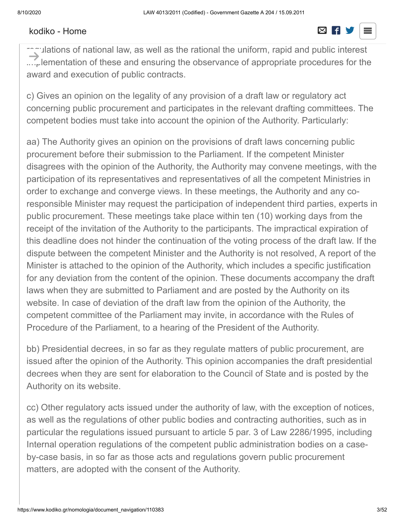#### [kodiko - Home](https://www.kodiko.gr/)  $\boxtimes$  F

#### the proper harmonization of the national legal order with  $\Box$  $s_{\text{source}}$  reformulation, reformulation, codification, codification and consolidation of the relevant laws and construction of the relevant laws and construction of the relevant laws and construction of the relevant laws a

regulations of national law, as well as the rational the uniform, rapid and public interest ....<sub>r</sub> lementation of these and ensuring the observance of appropriate procedures for the award and execution of public contracts.  $\rightarrow$ 

c) Gives an opinion on the legality of any provision of a draft law or regulatory act concerning public procurement and participates in the relevant drafting committees. The competent bodies must take into account the opinion of the Authority. Particularly:

aa) The Authority gives an opinion on the provisions of draft laws concerning public procurement before their submission to the Parliament. If the competent Minister disagrees with the opinion of the Authority, the Authority may convene meetings, with the participation of its representatives and representatives of all the competent Ministries in order to exchange and converge views. In these meetings, the Authority and any coresponsible Minister may request the participation of independent third parties, experts in public procurement. These meetings take place within ten (10) working days from the receipt of the invitation of the Authority to the participants. The impractical expiration of this deadline does not hinder the continuation of the voting process of the draft law. If the dispute between the competent Minister and the Authority is not resolved, A report of the Minister is attached to the opinion of the Authority, which includes a specific justification for any deviation from the content of the opinion. These documents accompany the draft laws when they are submitted to Parliament and are posted by the Authority on its website. In case of deviation of the draft law from the opinion of the Authority, the competent committee of the Parliament may invite, in accordance with the Rules of Procedure of the Parliament, to a hearing of the President of the Authority.

bb) Presidential decrees, in so far as they regulate matters of public procurement, are issued after the opinion of the Authority. This opinion accompanies the draft presidential decrees when they are sent for elaboration to the Council of State and is posted by the Authority on its website.

cc) Other regulatory acts issued under the authority of law, with the exception of notices, as well as the regulations of other public bodies and contracting authorities, such as in particular the regulations issued pursuant to article 5 par. 3 of Law 2286/1995, including Internal operation regulations of the competent public administration bodies on a caseby-case basis, in so far as those acts and regulations govern public procurement matters, are adopted with the consent of the Authority.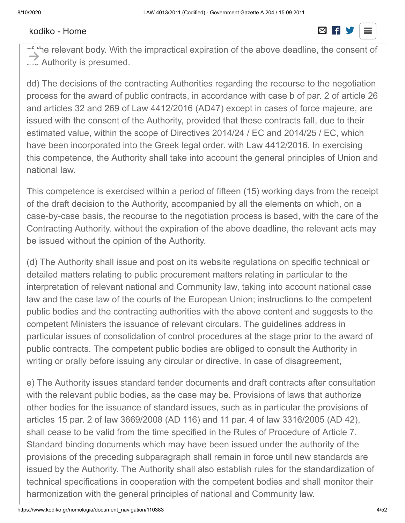#### The advisory competence of the present case is exercised with a period of twenty  $\overline{\mathbf{C}}$ working days from the receipt of the above draft provisions to the  $\sim$

of the relevant body. With the impractical expiration of the above deadline, the consent of ... Authority is presumed.  $\rightarrow$ 

dd) The decisions of the contracting Authorities regarding the recourse to the negotiation process for the award of public contracts, in accordance with case b of par. 2 of article 26 and articles 32 and 269 of Law 4412/2016 (AD47) except in cases of force majeure, are issued with the consent of the Authority, provided that these contracts fall, due to their estimated value, within the scope of Directives 2014/24 / EC and 2014/25 / EC, which have been incorporated into the Greek legal order. with Law 4412/2016. In exercising this competence, the Authority shall take into account the general principles of Union and national law.

This competence is exercised within a period of fifteen (15) working days from the receipt of the draft decision to the Authority, accompanied by all the elements on which, on a case-by-case basis, the recourse to the negotiation process is based, with the care of the Contracting Authority. without the expiration of the above deadline, the relevant acts may be issued without the opinion of the Authority.

(d) The Authority shall issue and post on its website regulations on specific technical or detailed matters relating to public procurement matters relating in particular to the interpretation of relevant national and Community law, taking into account national case law and the case law of the courts of the European Union; instructions to the competent public bodies and the contracting authorities with the above content and suggests to the competent Ministers the issuance of relevant circulars. The guidelines address in particular issues of consolidation of control procedures at the stage prior to the award of public contracts. The competent public bodies are obliged to consult the Authority in writing or orally before issuing any circular or directive. In case of disagreement,

e) The Authority issues standard tender documents and draft contracts after consultation with the relevant public bodies, as the case may be. Provisions of laws that authorize other bodies for the issuance of standard issues, such as in particular the provisions of articles 15 par. 2 of law 3669/2008 (AD 116) and 11 par. 4 of law 3316/2005 (AD 42), shall cease to be valid from the time specified in the Rules of Procedure of Article 7. Standard binding documents which may have been issued under the authority of the provisions of the preceding subparagraph shall remain in force until new standards are issued by the Authority. The Authority shall also establish rules for the standardization of technical specifications in cooperation with the competent bodies and shall monitor their harmonization with the general principles of national and Community law.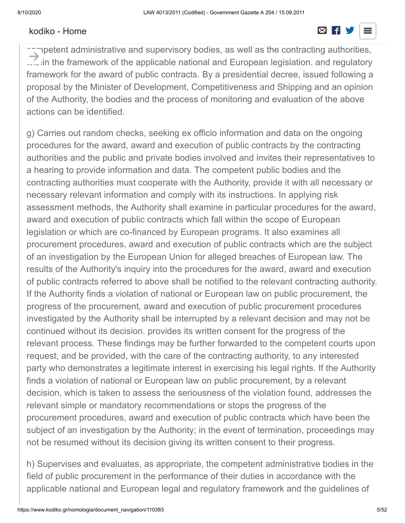#### [kodiko - Home](https://www.kodiko.gr/) and a structure of the structure of the structure  $\boxtimes$  **if y**

#### for the Authority monitors and evaluates the effectiveness of the effectiveness of the actions of the actions of the actions of the actions of the actions of the actions of the actions of the actions of the actions of the  $p_{\text{t}} = \frac{p_{\text{t}}}{p_{\text{t}}}$  bodies including the competent Ministries, the competent Ministries, the competent Ministries, the competent Ministries, the competent Ministries, the competent Ministries, the competent Minis

 $\widehat{\phantom{\alpha}}$ npetent administrative and supervisory bodies, as well as the contracting authorities, ..... in the framework of the applicable national and European legislation. and regulatory framework for the award of public contracts. By a presidential decree, issued following a proposal by the Minister of Development, Competitiveness and Shipping and an opinion of the Authority, the bodies and the process of monitoring and evaluation of the above actions can be identified.  $\rightarrow$ 

g) Carries out random checks, seeking ex officio information and data on the ongoing procedures for the award, award and execution of public contracts by the contracting authorities and the public and private bodies involved and invites their representatives to a hearing to provide information and data. The competent public bodies and the contracting authorities must cooperate with the Authority, provide it with all necessary or necessary relevant information and comply with its instructions. In applying risk assessment methods, the Authority shall examine in particular procedures for the award, award and execution of public contracts which fall within the scope of European legislation or which are co-financed by European programs. It also examines all procurement procedures, award and execution of public contracts which are the subject of an investigation by the European Union for alleged breaches of European law. The results of the Authority's inquiry into the procedures for the award, award and execution of public contracts referred to above shall be notified to the relevant contracting authority. If the Authority finds a violation of national or European law on public procurement, the progress of the procurement, award and execution of public procurement procedures investigated by the Authority shall be interrupted by a relevant decision and may not be continued without its decision. provides its written consent for the progress of the relevant process. These findings may be further forwarded to the competent courts upon request, and be provided, with the care of the contracting authority, to any interested party who demonstrates a legitimate interest in exercising his legal rights. If the Authority finds a violation of national or European law on public procurement, by a relevant decision, which is taken to assess the seriousness of the violation found, addresses the relevant simple or mandatory recommendations or stops the progress of the procurement procedures, award and execution of public contracts which have been the subject of an investigation by the Authority; in the event of termination, proceedings may not be resumed without its decision giving its written consent to their progress.

h) Supervises and evaluates, as appropriate, the competent administrative bodies in the field of public procurement in the performance of their duties in accordance with the applicable national and European legal and regulatory framework and the guidelines of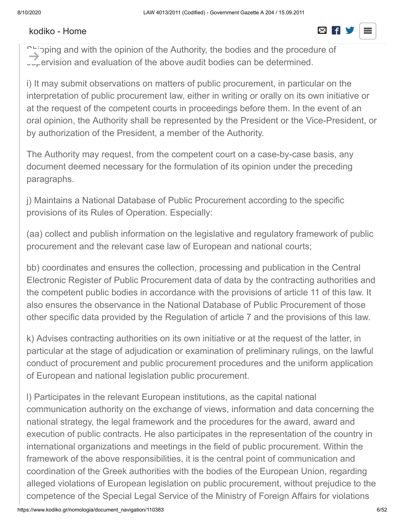#### [kodiko - Home](https://www.kodiko.gr/)  $\boxtimes$  **R**

#### the Authority. These bodies must comply with the Authority's instructions. By presidential  $\blacksquare$  $\overline{\phantom{a}}$  decree, issued on the Minister of Development,  $\overline{\phantom{a}}$

phipping and with the opinion of the Authority, the bodies and the procedure of  $\mathbb{L}_{\mathbf{r}}$  ervision and evaluation of the above audit bodies can be determined.  $\rightarrow$ 

i) It may submit observations on matters of public procurement, in particular on the interpretation of public procurement law, either in writing or orally on its own initiative or at the request of the competent courts in proceedings before them. In the event of an oral opinion, the Authority shall be represented by the President or the Vice-President, or by authorization of the President, a member of the Authority.

The Authority may request, from the competent court on a case-by-case basis, any document deemed necessary for the formulation of its opinion under the preceding paragraphs.

j) Maintains a National Database of Public Procurement according to the specific provisions of its Rules of Operation. Especially:

(aa) collect and publish information on the legislative and regulatory framework of public procurement and the relevant case law of European and national courts;

bb) coordinates and ensures the collection, processing and publication in the Central Electronic Register of Public Procurement data of data by the contracting authorities and the competent public bodies in accordance with the provisions of article 11 of this law. It also ensures the observance in the National Database of Public Procurement of those other specific data provided by the Regulation of article 7 and the provisions of this law.

k) Advises contracting authorities on its own initiative or at the request of the latter, in particular at the stage of adjudication or examination of preliminary rulings, on the lawful conduct of procurement and public procurement procedures and the uniform application of European and national legislation public procurement.

l) Participates in the relevant European institutions, as the capital national communication authority on the exchange of views, information and data concerning the national strategy, the legal framework and the procedures for the award, award and execution of public contracts. He also participates in the representation of the country in international organizations and meetings in the field of public procurement. Within the framework of the above responsibilities, it is the central point of communication and coordination of the Greek authorities with the bodies of the European Union, regarding alleged violations of European legislation on public procurement, without prejudice to the competence of the Special Legal Service of the Ministry of Foreign Affairs for violations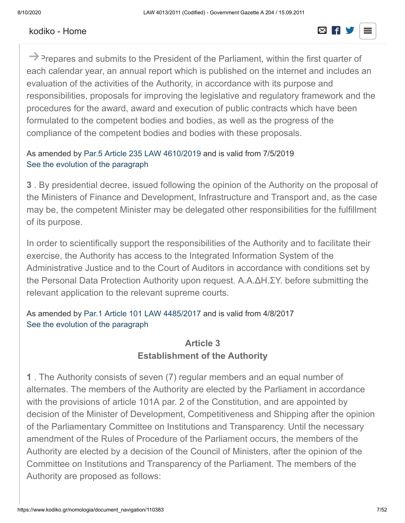#### Reditto Pionio [kodiko - Home](https://www.kodiko.gr/)



 $\rightarrow$  Prepares and submits to the President of the Parliament, within the first quarter of each calendar year, an annual report which is published on the internet and includes an evaluation of the activities of the Authority, in accordance with its purpose and responsibilities, proposals for improving the legislative and regulatory framework and the procedures for the award, award and execution of public contracts which have been formulated to the competent bodies and bodies, as well as the progress of the compliance of the competent bodies and bodies with these proposals.

#### As amended by [Par.5 Article 235 LAW 4610/2019](javascript:void(0);) and is valid from 7/5/2019 [See the evolution of the paragraph](https://www.kodiko.gr/nomologia/document?id=516016)

**3** . By presidential decree, issued following the opinion of the Authority on the proposal of the Ministers of Finance and Development, Infrastructure and Transport and, as the case may be, the competent Minister may be delegated other responsibilities for the fulfillment of its purpose.

In order to scientifically support the responsibilities of the Authority and to facilitate their exercise, the Authority has access to the Integrated Information System of the Administrative Justice and to the Court of Auditors in accordance with conditions set by the Personal Data Protection Authority upon request. Α.Α.ΔΗ.ΣΥ. before submitting the relevant application to the relevant supreme courts.

As amended by [Par.1 Article 101 LAW 4485/2017](javascript:void(0);) and is valid from 4/8/2017 [See the evolution of the paragraph](https://www.kodiko.gr/nomologia/document?id=557364)

## **Article 3 Establishment of the Authority**

**1** . The Authority consists of seven (7) regular members and an equal number of alternates. The members of the Authority are elected by the Parliament in accordance with the provisions of article 101A par. 2 of the Constitution, and are appointed by decision of the Minister of Development, Competitiveness and Shipping after the opinion of the Parliamentary Committee on Institutions and Transparency. Until the necessary amendment of the Rules of Procedure of the Parliament occurs, the members of the Authority are elected by a decision of the Council of Ministers, after the opinion of the Committee on Institutions and Transparency of the Parliament. The members of the Authority are proposed as follows: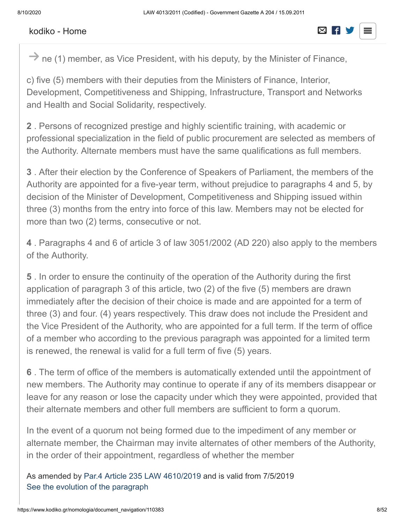#### Rodho Tionio [kodiko - Home](https://www.kodiko.gr/)



 $\rightarrow$  ne (1) member, as Vice President, with his deputy, by the Minister of Finance,

c) five (5) members with their deputies from the Ministers of Finance, Interior, Development, Competitiveness and Shipping, Infrastructure, Transport and Networks and Health and Social Solidarity, respectively.

**2** . Persons of recognized prestige and highly scientific training, with academic or professional specialization in the field of public procurement are selected as members of the Authority. Alternate members must have the same qualifications as full members.

**3** . After their election by the Conference of Speakers of Parliament, the members of the Authority are appointed for a five-year term, without prejudice to paragraphs 4 and 5, by decision of the Minister of Development, Competitiveness and Shipping issued within three (3) months from the entry into force of this law. Members may not be elected for more than two (2) terms, consecutive or not.

**4** . Paragraphs 4 and 6 of article 3 of law 3051/2002 (AD 220) also apply to the members of the Authority.

**5** . In order to ensure the continuity of the operation of the Authority during the first application of paragraph 3 of this article, two (2) of the five (5) members are drawn immediately after the decision of their choice is made and are appointed for a term of three (3) and four. (4) years respectively. This draw does not include the President and the Vice President of the Authority, who are appointed for a full term. If the term of office of a member who according to the previous paragraph was appointed for a limited term is renewed, the renewal is valid for a full term of five (5) years.

**6** . The term of office of the members is automatically extended until the appointment of new members. The Authority may continue to operate if any of its members disappear or leave for any reason or lose the capacity under which they were appointed, provided that their alternate members and other full members are sufficient to form a quorum.

In the event of a quorum not being formed due to the impediment of any member or alternate member, the Chairman may invite alternates of other members of the Authority, in the order of their appointment, regardless of whether the member

As amended by [Par.4 Article 235 LAW 4610/2019](javascript:void(0);) and is valid from 7/5/2019 [See the evolution of the paragraph](https://www.kodiko.gr/nomologia/document?id=516015)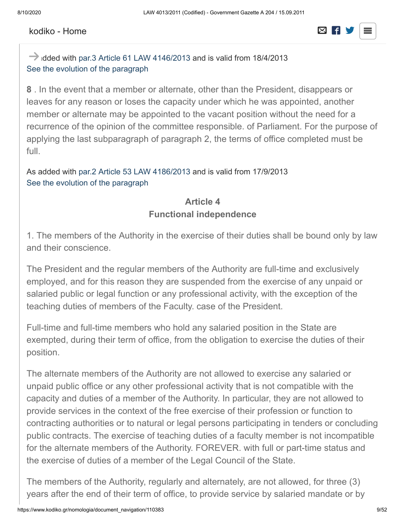#### $\sum_{i=1}^{\infty}$ [kodiko - Home](https://www.kodiko.gr/)

# **7** . The President of the Authority, when disabled, absent or absent, is replaced by the

 $\rightarrow$  idded with [par.3 Article 61 LAW 4146/2013](javascript:void(0);) and is valid from 18/4/2013 [See the evolution of the paragraph](https://www.kodiko.gr/nomologia/document?id=245774)

**8** . In the event that a member or alternate, other than the President, disappears or leaves for any reason or loses the capacity under which he was appointed, another member or alternate may be appointed to the vacant position without the need for a recurrence of the opinion of the committee responsible. of Parliament. For the purpose of applying the last subparagraph of paragraph 2, the terms of office completed must be full.

As added with [par.2 Article 53 LAW 4186/2013](javascript:void(0);) and is valid from 17/9/2013 [See the evolution of the paragraph](https://www.kodiko.gr/nomologia/document?id=245784)

#### **Article 4 Functional independence**

1. The members of the Authority in the exercise of their duties shall be bound only by law and their conscience.

The President and the regular members of the Authority are full-time and exclusively employed, and for this reason they are suspended from the exercise of any unpaid or salaried public or legal function or any professional activity, with the exception of the teaching duties of members of the Faculty. case of the President.

Full-time and full-time members who hold any salaried position in the State are exempted, during their term of office, from the obligation to exercise the duties of their position.

The alternate members of the Authority are not allowed to exercise any salaried or unpaid public office or any other professional activity that is not compatible with the capacity and duties of a member of the Authority. In particular, they are not allowed to provide services in the context of the free exercise of their profession or function to contracting authorities or to natural or legal persons participating in tenders or concluding public contracts. The exercise of teaching duties of a faculty member is not incompatible for the alternate members of the Authority. FOREVER. with full or part-time status and the exercise of duties of a member of the Legal Council of the State.

The members of the Authority, regularly and alternately, are not allowed, for three (3) years after the end of their term of office, to provide service by salaried mandate or by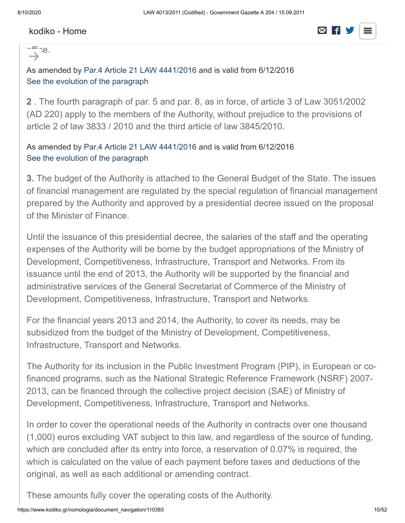

 $-$ tt:  $26$ .  $\rightarrow$ 

As amended by [Par.4 Article 21 LAW 4441/2016](javascript:void(0);) and is valid from 6/12/2016 [See the evolution of the paragraph](https://www.kodiko.gr/nomologia/document?id=245793)

**2** . The fourth paragraph of par. 5 and par. 8, as in force, of article 3 of Law 3051/2002 (AD 220) apply to the members of the Authority, without prejudice to the provisions of article 2 of law 3833 / 2010 and the third article of law 3845/2010.

#### As amended by [Par.4 Article 21 LAW 4441/2016](javascript:void(0);) and is valid from 6/12/2016 [See the evolution of the paragraph](https://www.kodiko.gr/nomologia/document?id=245794)

**3.** The budget of the Authority is attached to the General Budget of the State. The issues of financial management are regulated by the special regulation of financial management prepared by the Authority and approved by a presidential decree issued on the proposal of the Minister of Finance.

Until the issuance of this presidential decree, the salaries of the staff and the operating expenses of the Authority will be borne by the budget appropriations of the Ministry of Development, Competitiveness, Infrastructure, Transport and Networks. From its issuance until the end of 2013, the Authority will be supported by the financial and administrative services of the General Secretariat of Commerce of the Ministry of Development, Competitiveness, Infrastructure, Transport and Networks.

For the financial years 2013 and 2014, the Authority, to cover its needs, may be subsidized from the budget of the Ministry of Development, Competitiveness, Infrastructure, Transport and Networks.

The Authority for its inclusion in the Public Investment Program (PIP), in European or cofinanced programs, such as the National Strategic Reference Framework (NSRF) 2007- 2013, can be financed through the collective project decision (SAE) of Ministry of Development, Competitiveness, Infrastructure, Transport and Networks.

In order to cover the operational needs of the Authority in contracts over one thousand (1,000) euros excluding VAT subject to this law, and regardless of the source of funding, which are concluded after its entry into force, a reservation of 0.07% is required, the which is calculated on the value of each payment before taxes and deductions of the original, as well as each additional or amending contract.

These amounts fully cover the operating costs of the Authority.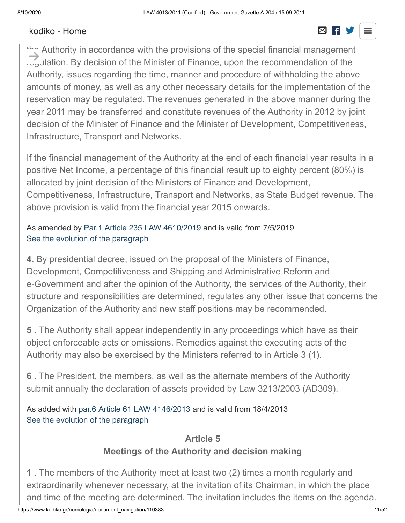#### [kodiko - Home](https://www.kodiko.gr/)  $\boxtimes$  **R**

#### The amount of the reservation is with  $\Box$  the contracting authority in the name and one  $\Box$  $\frac{1}{\sqrt{2}}$  of the Authority and is deposited in a special bank account, which is many  $\frac{1}{\sqrt{2}}$

the Authority in accordance with the provisions of the special financial management regulation. By decision of the Minister of Finance, upon the recommendation of the Authority, issues regarding the time, manner and procedure of withholding the above amounts of money, as well as any other necessary details for the implementation of the reservation may be regulated. The revenues generated in the above manner during the year 2011 may be transferred and constitute revenues of the Authority in 2012 by joint decision of the Minister of Finance and the Minister of Development, Competitiveness, Infrastructure, Transport and Networks.  $\rightarrow$ 

If the financial management of the Authority at the end of each financial year results in a positive Net Income, a percentage of this financial result up to eighty percent (80%) is allocated by joint decision of the Ministers of Finance and Development, Competitiveness, Infrastructure, Transport and Networks, as State Budget revenue. The above provision is valid from the financial year 2015 onwards.

#### As amended by [Par.1 Article 235 LAW 4610/2019](javascript:void(0);) and is valid from 7/5/2019 [See the evolution of the paragraph](https://www.kodiko.gr/nomologia/document?id=516012)

**4.** By presidential decree, issued on the proposal of the Ministers of Finance, Development, Competitiveness and Shipping and Administrative Reform and e-Government and after the opinion of the Authority, the services of the Authority, their structure and responsibilities are determined, regulates any other issue that concerns the Organization of the Authority and new staff positions may be recommended.

**5** . The Authority shall appear independently in any proceedings which have as their object enforceable acts or omissions. Remedies against the executing acts of the Authority may also be exercised by the Ministers referred to in Article 3 (1).

**6** . The President, the members, as well as the alternate members of the Authority submit annually the declaration of assets provided by Law 3213/2003 (AD309).

As added with [par.6 Article 61 LAW 4146/2013](javascript:void(0);) and is valid from 18/4/2013 [See the evolution of the paragraph](https://www.kodiko.gr/nomologia/document?id=245777)

### **Article 5 Meetings of the Authority and decision making**

**1** . The members of the Authority meet at least two (2) times a month regularly and extraordinarily whenever necessary, at the invitation of its Chairman, in which the place and time of the meeting are determined. The invitation includes the items on the agenda.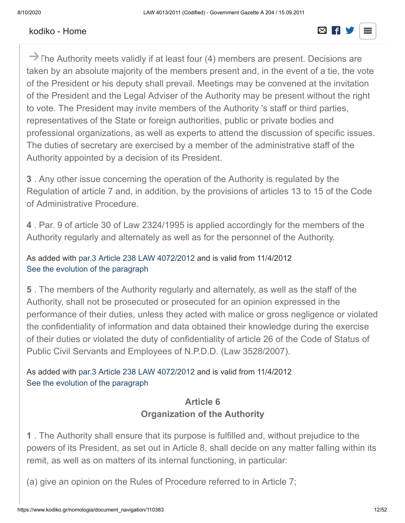#### request from (4) members. [kodiko - Home](https://www.kodiko.gr/)  $\boxtimes$  F S



→ The Authority meets validly if at least four (4) members are present. Decisions are taken by an absolute majority of the members present and, in the event of a tie, the vote of the President or his deputy shall prevail. Meetings may be convened at the invitation of the President and the Legal Adviser of the Authority may be present without the right to vote. The President may invite members of the Authority 's staff or third parties, representatives of the State or foreign authorities, public or private bodies and professional organizations, as well as experts to attend the discussion of specific issues. The duties of secretary are exercised by a member of the administrative staff of the Authority appointed by a decision of its President.

**3** . Any other issue concerning the operation of the Authority is regulated by the Regulation of article 7 and, in addition, by the provisions of articles 13 to 15 of the Code of Administrative Procedure.

**4** . Par. 9 of article 30 of Law 2324/1995 is applied accordingly for the members of the Authority regularly and alternately as well as for the personnel of the Authority.

As added with [par.3 Article 238 LAW 4072/2012](javascript:void(0);) and is valid from 11/4/2012 [See the evolution of the paragraph](https://www.kodiko.gr/nomologia/document?id=245767)

**5** . The members of the Authority regularly and alternately, as well as the staff of the Authority, shall not be prosecuted or prosecuted for an opinion expressed in the performance of their duties, unless they acted with malice or gross negligence or violated the confidentiality of information and data obtained their knowledge during the exercise of their duties or violated the duty of confidentiality of article 26 of the Code of Status of Public Civil Servants and Employees of N.P.D.D. (Law 3528/2007).

As added with [par.3 Article 238 LAW 4072/2012](javascript:void(0);) and is valid from 11/4/2012 [See the evolution of the paragraph](https://www.kodiko.gr/nomologia/document?id=245768)

#### **Article 6 Organization of the Authority**

**1** . The Authority shall ensure that its purpose is fulfilled and, without prejudice to the powers of its President, as set out in Article 8, shall decide on any matter falling within its remit, as well as on matters of its internal functioning, in particular:

(a) give an opinion on the Rules of Procedure referred to in Article 7;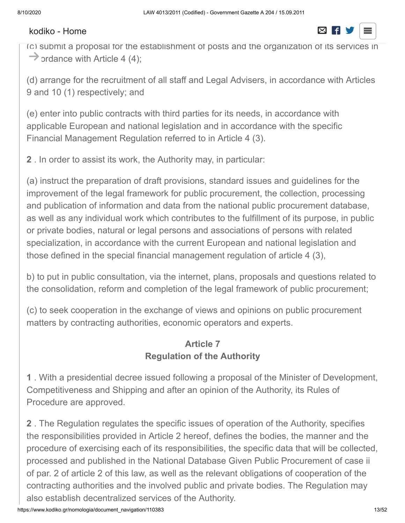#### (b) draw up the Financial Management Regulation referred to in Article 4 (3); [kodiko - Home](https://www.kodiko.gr/)



(c) submit a proposal for the establishment of posts and the organization of its services in  $\rightarrow$  ordance with Article 4 (4);

(d) arrange for the recruitment of all staff and Legal Advisers, in accordance with Articles 9 and 10 (1) respectively; and

(e) enter into public contracts with third parties for its needs, in accordance with applicable European and national legislation and in accordance with the specific Financial Management Regulation referred to in Article 4 (3).

**2** . In order to assist its work, the Authority may, in particular:

(a) instruct the preparation of draft provisions, standard issues and guidelines for the improvement of the legal framework for public procurement, the collection, processing and publication of information and data from the national public procurement database, as well as any individual work which contributes to the fulfillment of its purpose, in public or private bodies, natural or legal persons and associations of persons with related specialization, in accordance with the current European and national legislation and those defined in the special financial management regulation of article 4 (3),

b) to put in public consultation, via the internet, plans, proposals and questions related to the consolidation, reform and completion of the legal framework of public procurement;

(c) to seek cooperation in the exchange of views and opinions on public procurement matters by contracting authorities, economic operators and experts.

# **Article 7 Regulation of the Authority**

**1** . With a presidential decree issued following a proposal of the Minister of Development, Competitiveness and Shipping and after an opinion of the Authority, its Rules of Procedure are approved.

**2** . The Regulation regulates the specific issues of operation of the Authority, specifies the responsibilities provided in Article 2 hereof, defines the bodies, the manner and the procedure of exercising each of its responsibilities, the specific data that will be collected, processed and published in the National Database Given Public Procurement of case ii of par. 2 of article 2 of this law, as well as the relevant obligations of cooperation of the contracting authorities and the involved public and private bodies. The Regulation may also establish decentralized services of the Authority.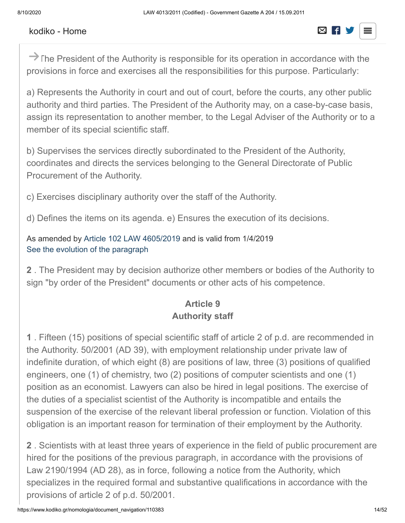→ The President of the Authority is responsible for its operation in accordance with the provisions in force and exercises all the responsibilities for this purpose. Particularly:

a) Represents the Authority in court and out of court, before the courts, any other public authority and third parties. The President of the Authority may, on a case-by-case basis, assign its representation to another member, to the Legal Adviser of the Authority or to a member of its special scientific staff.

b) Supervises the services directly subordinated to the President of the Authority, coordinates and directs the services belonging to the General Directorate of Public Procurement of the Authority.

c) Exercises disciplinary authority over the staff of the Authority.

d) Defines the items on its agenda. e) Ensures the execution of its decisions.

As amended by [Article 102 LAW 4605/2019](javascript:void(0);) and is valid from 1/4/2019 [See the evolution of the paragraph](https://www.kodiko.gr/nomologia/document?id=510900)

**2** . The President may by decision authorize other members or bodies of the Authority to sign "by order of the President" documents or other acts of his competence.

### **Article 9 Authority staff**

**1** . Fifteen (15) positions of special scientific staff of article 2 of p.d. are recommended in the Authority. 50/2001 (AD 39), with employment relationship under private law of indefinite duration, of which eight (8) are positions of law, three (3) positions of qualified engineers, one (1) of chemistry, two (2) positions of computer scientists and one (1) position as an economist. Lawyers can also be hired in legal positions. The exercise of the duties of a specialist scientist of the Authority is incompatible and entails the suspension of the exercise of the relevant liberal profession or function. Violation of this obligation is an important reason for termination of their employment by the Authority.

**2** . Scientists with at least three years of experience in the field of public procurement are hired for the positions of the previous paragraph, in accordance with the provisions of Law 2190/1994 (AD 28), as in force, following a notice from the Authority, which specializes in the required formal and substantive qualifications in accordance with the provisions of article 2 of p.d. 50/2001.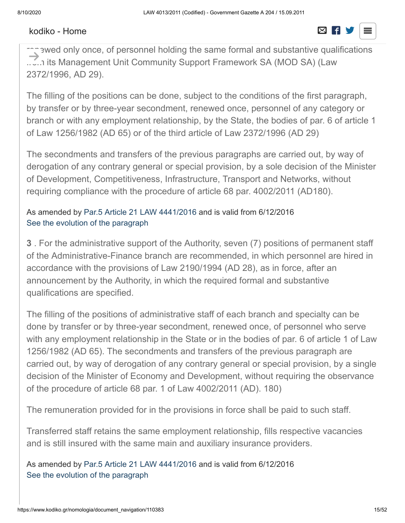#### In order to cover the immediate needs of the immediate needs of the Authority in specialized personnel, the filling  $\Box$  $\overline{\phantom{a}}$  the positions can, as a priority, because with a three-year secondment, which can be defined by  $\overline{\phantom{a}}$

renewed only once, of personnel holding the same formal and substantive qualifications ..↓..า its Management Unit Community Support Framework SA (MOD SA) (Law 2372/1996, AD 29).  $\rightarrow$ 

The filling of the positions can be done, subject to the conditions of the first paragraph, by transfer or by three-year secondment, renewed once, personnel of any category or branch or with any employment relationship, by the State, the bodies of par. 6 of article 1 of Law 1256/1982 (AD 65) or of the third article of Law 2372/1996 (AD 29)

The secondments and transfers of the previous paragraphs are carried out, by way of derogation of any contrary general or special provision, by a sole decision of the Minister of Development, Competitiveness, Infrastructure, Transport and Networks, without requiring compliance with the procedure of article 68 par. 4002/2011 (AD180).

#### As amended by [Par.5 Article 21 LAW 4441/2016](javascript:void(0);) and is valid from 6/12/2016 [See the evolution of the paragraph](https://www.kodiko.gr/nomologia/document?id=245795)

**3** . For the administrative support of the Authority, seven (7) positions of permanent staff of the Administrative-Finance branch are recommended, in which personnel are hired in accordance with the provisions of Law 2190/1994 (AD 28), as in force, after an announcement by the Authority, in which the required formal and substantive qualifications are specified.

The filling of the positions of administrative staff of each branch and specialty can be done by transfer or by three-year secondment, renewed once, of personnel who serve with any employment relationship in the State or in the bodies of par. 6 of article 1 of Law 1256/1982 (AD 65). The secondments and transfers of the previous paragraph are carried out, by way of derogation of any contrary general or special provision, by a single decision of the Minister of Economy and Development, without requiring the observance of the procedure of article 68 par. 1 of Law 4002/2011 (AD). 180)

The remuneration provided for in the provisions in force shall be paid to such staff.

Transferred staff retains the same employment relationship, fills respective vacancies and is still insured with the same main and auxiliary insurance providers.

As amended by [Par.5 Article 21 LAW 4441/2016](javascript:void(0);) and is valid from 6/12/2016 [See the evolution of the paragraph](https://www.kodiko.gr/nomologia/document?id=245796)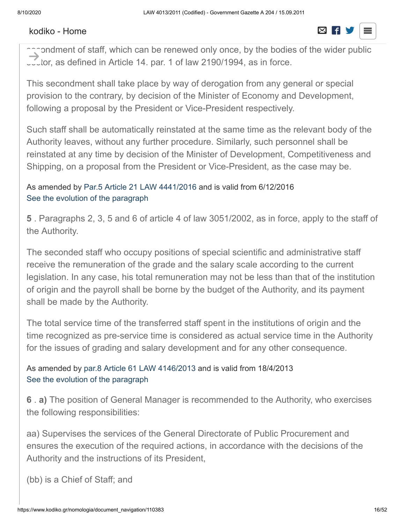#### **4** . For the secretarial support of the President and the Vice President of the Authority,  $\frac{1}{2}$  positions of secretaries are recommended, which are covered by a three-year covered by a three-year covered by a three-year covered by a three-year covered by a three-year covered by a three-year covered by a th

accondment of staff, which can be renewed only once, by the bodies of the wider public  $\sim$  tor, as defined in Article 14. par. 1 of law 2190/1994, as in force.  $\rightarrow$ 

This secondment shall take place by way of derogation from any general or special provision to the contrary, by decision of the Minister of Economy and Development, following a proposal by the President or Vice-President respectively.

Such staff shall be automatically reinstated at the same time as the relevant body of the Authority leaves, without any further procedure. Similarly, such personnel shall be reinstated at any time by decision of the Minister of Development, Competitiveness and Shipping, on a proposal from the President or Vice-President, as the case may be.

As amended by [Par.5 Article 21 LAW 4441/2016](javascript:void(0);) and is valid from 6/12/2016 [See the evolution of the paragraph](https://www.kodiko.gr/nomologia/document?id=245797)

**5** . Paragraphs 2, 3, 5 and 6 of article 4 of law 3051/2002, as in force, apply to the staff of the Authority.

The seconded staff who occupy positions of special scientific and administrative staff receive the remuneration of the grade and the salary scale according to the current legislation. In any case, his total remuneration may not be less than that of the institution of origin and the payroll shall be borne by the budget of the Authority, and its payment shall be made by the Authority.

The total service time of the transferred staff spent in the institutions of origin and the time recognized as pre-service time is considered as actual service time in the Authority for the issues of grading and salary development and for any other consequence.

As amended by [par.8 Article 61 LAW 4146/2013](javascript:void(0);) and is valid from 18/4/2013 [See the evolution of the paragraph](https://www.kodiko.gr/nomologia/document?id=245779)

**6** . **a)** The position of General Manager is recommended to the Authority, who exercises the following responsibilities:

aa) Supervises the services of the General Directorate of Public Procurement and ensures the execution of the required actions, in accordance with the decisions of the Authority and the instructions of its President,

(bb) is a Chief of Staff; and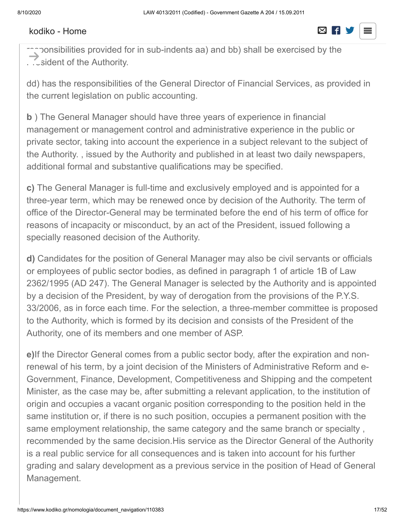#### consider the responsibilities the responsibilities of the President, which are assigned to him by a structure  $\overline{\phantom{a}}$  decision of the approximation of the  $\overline{\phantom{a}}$

⊤ງລonsibilities provided for in sub-indents aa) and bb) shall be exercised by the . . . sident of the Authority.  $\rightarrow$ 

dd) has the responsibilities of the General Director of Financial Services, as provided in the current legislation on public accounting.

**b** ) The General Manager should have three years of experience in financial management or management control and administrative experience in the public or private sector, taking into account the experience in a subject relevant to the subject of the Authority. , issued by the Authority and published in at least two daily newspapers, additional formal and substantive qualifications may be specified.

**c)** The General Manager is full-time and exclusively employed and is appointed for a three-year term, which may be renewed once by decision of the Authority. The term of office of the Director-General may be terminated before the end of his term of office for reasons of incapacity or misconduct, by an act of the President, issued following a specially reasoned decision of the Authority.

**d)** Candidates for the position of General Manager may also be civil servants or officials or employees of public sector bodies, as defined in paragraph 1 of article 1B of Law 2362/1995 (AD 247). The General Manager is selected by the Authority and is appointed by a decision of the President, by way of derogation from the provisions of the P.Y.S. 33/2006, as in force each time. For the selection, a three-member committee is proposed to the Authority, which is formed by its decision and consists of the President of the Authority, one of its members and one member of ASP.

**e)**If the Director General comes from a public sector body, after the expiration and nonrenewal of his term, by a joint decision of the Ministers of Administrative Reform and e-Government, Finance, Development, Competitiveness and Shipping and the competent Minister, as the case may be, after submitting a relevant application, to the institution of origin and occupies a vacant organic position corresponding to the position held in the same institution or, if there is no such position, occupies a permanent position with the same employment relationship, the same category and the same branch or specialty , recommended by the same decision.His service as the Director General of the Authority is a real public service for all consequences and is taken into account for his further grading and salary development as a previous service in the position of Head of General Management.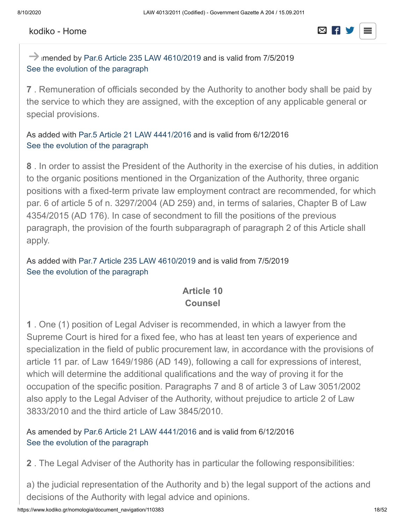#### Ministers of Finance and Development, Competitiveness and Shipping. [kodiko - Home](https://www.kodiko.gr/)  $\boxtimes$  F



 $\rightarrow$  imended by [Par.6 Article 235 LAW 4610/2019](javascript:void(0);) and is valid from 7/5/2019 [See the evolution of the paragraph](https://www.kodiko.gr/nomologia/document?id=516017)

**7** . Remuneration of officials seconded by the Authority to another body shall be paid by the service to which they are assigned, with the exception of any applicable general or special provisions.

As added with [Par.5 Article 21 LAW 4441/2016](javascript:void(0);) and is valid from 6/12/2016 [See the evolution of the paragraph](https://www.kodiko.gr/nomologia/document?id=245798)

**8** . In order to assist the President of the Authority in the exercise of his duties, in addition to the organic positions mentioned in the Organization of the Authority, three organic positions with a fixed-term private law employment contract are recommended, for which par. 6 of article 5 of n. 3297/2004 (AD 259) and, in terms of salaries, Chapter B of Law 4354/2015 (AD 176). In case of secondment to fill the positions of the previous paragraph, the provision of the fourth subparagraph of paragraph 2 of this Article shall apply.

As added with [Par.7 Article 235 LAW 4610/2019](javascript:void(0);) and is valid from 7/5/2019 [See the evolution of the paragraph](https://www.kodiko.gr/nomologia/document?id=516018)

#### **Article 10 Counsel**

**1** . One (1) position of Legal Adviser is recommended, in which a lawyer from the Supreme Court is hired for a fixed fee, who has at least ten years of experience and specialization in the field of public procurement law, in accordance with the provisions of article 11 par. of Law 1649/1986 (AD 149), following a call for expressions of interest, which will determine the additional qualifications and the way of proving it for the occupation of the specific position. Paragraphs 7 and 8 of article 3 of Law 3051/2002 also apply to the Legal Adviser of the Authority, without prejudice to article 2 of Law 3833/2010 and the third article of Law 3845/2010.

As amended by [Par.6 Article 21 LAW 4441/2016](javascript:void(0);) and is valid from 6/12/2016 [See the evolution of the paragraph](https://www.kodiko.gr/nomologia/document?id=245800)

**2** . The Legal Adviser of the Authority has in particular the following responsibilities:

a) the judicial representation of the Authority and b) the legal support of the actions and decisions of the Authority with legal advice and opinions.

https://www.kodiko.gr/nomologia/document\_navigation/110383 18/52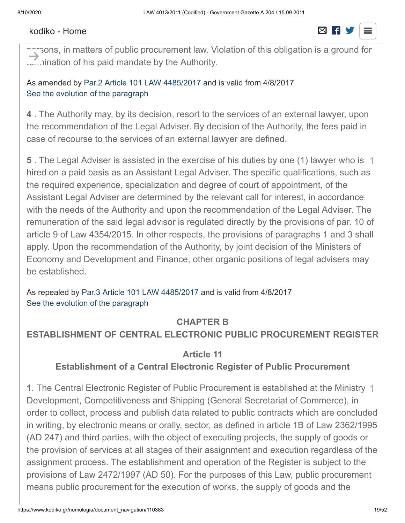#### **3** . The Legal Adviser is not allowed, for as long as he provides legal services to the  $A$ uthority, the provide corresponding services with any legal relationship to  $\Box$

narsons, in matters of public procurement law. Violation of this obligation is a ground for ......ination of his paid mandate by the Authority.  $\rightarrow$ 

As amended by [Par.2 Article 101 LAW 4485/2017](javascript:void(0);) and is valid from 4/8/2017 [See the evolution of the paragraph](https://www.kodiko.gr/nomologia/document?id=292674)

**4** . The Authority may, by its decision, resort to the services of an external lawyer, upon the recommendation of the Legal Adviser. By decision of the Authority, the fees paid in case of recourse to the services of an external lawyer are defined.

**5** . The Legal Adviser is assisted in the exercise of his duties by one (1) lawyer who is  $\rightarrow$ hired on a paid basis as an Assistant Legal Adviser. The specific qualifications, such as the required experience, specialization and degree of court of appointment, of the Assistant Legal Adviser are determined by the relevant call for interest, in accordance with the needs of the Authority and upon the recommendation of the Legal Adviser. The remuneration of the said legal advisor is regulated directly by the provisions of par. 10 of article 9 of Law 4354/2015. In other respects, the provisions of paragraphs 1 and 3 shall apply. Upon the recommendation of the Authority, by joint decision of the Ministers of Economy and Development and Finance, other organic positions of legal advisers may be established.

As repealed by [Par.3 Article 101 LAW 4485/2017](javascript:void(0);) and is valid from 4/8/2017 [See the evolution of the paragraph](https://www.kodiko.gr/nomologia/document?id=245799)

#### **CHAPTER B**

#### **ESTABLISHMENT OF CENTRAL ELECTRONIC PUBLIC PROCUREMENT REGISTER**

#### **Article 11**

#### **Establishment of a Central Electronic Register of Public Procurement**

**1**. The Central Electronic Register of Public Procurement is established at the Ministry  $\uparrow$ Development, Competitiveness and Shipping (General Secretariat of Commerce), in order to collect, process and publish data related to public contracts which are concluded in writing, by electronic means or orally, sector, as defined in article 1B of Law 2362/1995 (AD 247) and third parties, with the object of executing projects, the supply of goods or the provision of services at all stages of their assignment and execution regardless of the assignment process. The establishment and operation of the Register is subject to the provisions of Law 2472/1997 (AD 50). For the purposes of this Law, public procurement means public procurement for the execution of works, the supply of goods and the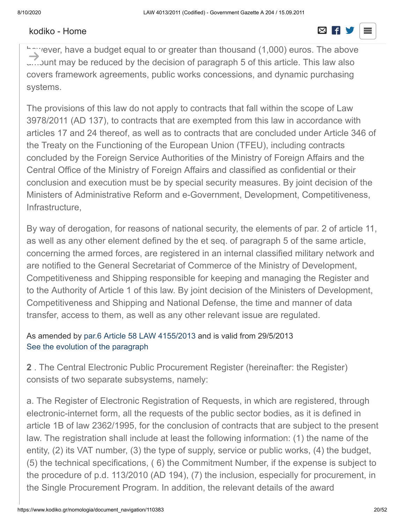#### $\overline{\phantom{a}}$   $\overline{\phantom{a}}$   $\overline{\phantom{a}}$   $\overline{\phantom{a}}$   $\overline{\phantom{a}}$   $\overline{\phantom{a}}$   $\overline{\phantom{a}}$   $\overline{\phantom{a}}$   $\overline{\phantom{a}}$   $\overline{\phantom{a}}$   $\overline{\phantom{a}}$   $\overline{\phantom{a}}$   $\overline{\phantom{a}}$   $\overline{\phantom{a}}$   $\overline{\phantom{a}}$   $\overline{\phantom{a}}$   $\overline{\phantom{a}}$   $\overline{\phantom{a}}$   $\overline{\$ [kodiko - Home](https://www.kodiko.gr/)

# provision of services; within the meaning of Presidential Decrees 59/2007 (AD63) and

hawever, have a budget equal to or greater than thousand (1,000) euros. The above …..Junt may be reduced by the decision of paragraph 5 of this article. This law also covers framework agreements, public works concessions, and dynamic purchasing systems.  $\rightarrow$ 

The provisions of this law do not apply to contracts that fall within the scope of Law 3978/2011 (AD 137), to contracts that are exempted from this law in accordance with articles 17 and 24 thereof, as well as to contracts that are concluded under Article 346 of the Treaty on the Functioning of the European Union (TFEU), including contracts concluded by the Foreign Service Authorities of the Ministry of Foreign Affairs and the Central Office of the Ministry of Foreign Affairs and classified as confidential or their conclusion and execution must be by special security measures. By joint decision of the Ministers of Administrative Reform and e-Government, Development, Competitiveness, Infrastructure,

By way of derogation, for reasons of national security, the elements of par. 2 of article 11, as well as any other element defined by the et seq. of paragraph 5 of the same article, concerning the armed forces, are registered in an internal classified military network and are notified to the General Secretariat of Commerce of the Ministry of Development, Competitiveness and Shipping responsible for keeping and managing the Register and to the Authority of Article 1 of this law. By joint decision of the Ministers of Development, Competitiveness and Shipping and National Defense, the time and manner of data transfer, access to them, as well as any other relevant issue are regulated.

#### As amended by [par.6 Article 58 LAW 4155/2013](javascript:void(0);) and is valid from 29/5/2013 [See the evolution of the paragraph](https://www.kodiko.gr/nomologia/document?id=245783)

**2** . The Central Electronic Public Procurement Register (hereinafter: the Register) consists of two separate subsystems, namely:

a. The Register of Electronic Registration of Requests, in which are registered, through electronic-internet form, all the requests of the public sector bodies, as it is defined in article 1B of law 2362/1995, for the conclusion of contracts that are subject to the present law. The registration shall include at least the following information: (1) the name of the entity, (2) its VAT number, (3) the type of supply, service or public works, (4) the budget, (5) the technical specifications, ( 6) the Commitment Number, if the expense is subject to the procedure of p.d. 113/2010 (AD 194), (7) the inclusion, especially for procurement, in the Single Procurement Program. In addition, the relevant details of the award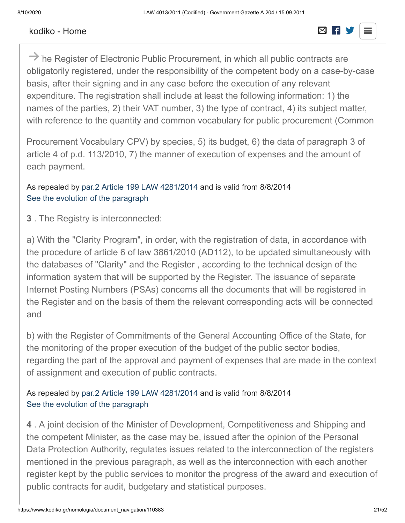#### authority shall be entered in the relevant fields. [kodiko - Home](https://www.kodiko.gr/)



 $\rightarrow$  he Register of Electronic Public Procurement, in which all public contracts are obligatorily registered, under the responsibility of the competent body on a case-by-case basis, after their signing and in any case before the execution of any relevant expenditure. The registration shall include at least the following information: 1) the names of the parties, 2) their VAT number, 3) the type of contract, 4) its subject matter, with reference to the quantity and common vocabulary for public procurement (Common

Procurement Vocabulary CPV) by species, 5) its budget, 6) the data of paragraph 3 of article 4 of p.d. 113/2010, 7) the manner of execution of expenses and the amount of each payment.

As repealed by [par.2 Article 199 LAW 4281/2014](javascript:void(0);) and is valid from 8/8/2014 [See the evolution of the paragraph](https://www.kodiko.gr/nomologia/document?id=110433)

**3** . The Registry is interconnected:

a) With the "Clarity Program", in order, with the registration of data, in accordance with the procedure of article 6 of law 3861/2010 (AD112), to be updated simultaneously with the databases of "Clarity" and the Register , according to the technical design of the information system that will be supported by the Register. The issuance of separate Internet Posting Numbers (PSAs) concerns all the documents that will be registered in the Register and on the basis of them the relevant corresponding acts will be connected and

b) with the Register of Commitments of the General Accounting Office of the State, for the monitoring of the proper execution of the budget of the public sector bodies, regarding the part of the approval and payment of expenses that are made in the context of assignment and execution of public contracts.

#### As repealed by [par.2 Article 199 LAW 4281/2014](javascript:void(0);) and is valid from 8/8/2014 [See the evolution of the paragraph](https://www.kodiko.gr/nomologia/document?id=110434)

**4** . A joint decision of the Minister of Development, Competitiveness and Shipping and the competent Minister, as the case may be, issued after the opinion of the Personal Data Protection Authority, regulates issues related to the interconnection of the registers mentioned in the previous paragraph, as well as the interconnection with each another register kept by the public services to monitor the progress of the award and execution of public contracts for audit, budgetary and statistical purposes.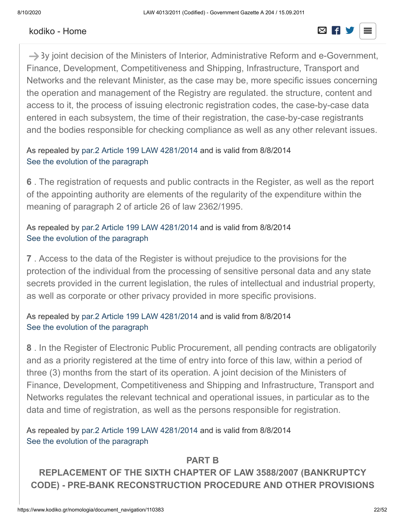# $A$  repealed by particle 199 LAW 4281/2014 and is valid from 8/8/2014 and is valid from 8/8/2014 and is valid from 8/8/2014 and is valid from 8/8/2014 and is valid from 8/8/2014 and is valid from 8/8/2014 and is valid fro

# $S^2$  [kodiko - Home](https://www.kodiko.gr/)  $S^2$  is the paragraph of the paragraph  $S^2$  is the paragraph of the paragraph of the paragraph of the paragraph of the paragraph of the paragraph of the paragraph of the paragraph of the paragraph of

 $\rightarrow$  3y joint decision of the Ministers of Interior, Administrative Reform and e-Government, Finance, Development, Competitiveness and Shipping, Infrastructure, Transport and Networks and the relevant Minister, as the case may be, more specific issues concerning the operation and management of the Registry are regulated. the structure, content and access to it, the process of issuing electronic registration codes, the case-by-case data entered in each subsystem, the time of their registration, the case-by-case registrants and the bodies responsible for checking compliance as well as any other relevant issues.

#### As repealed by [par.2 Article 199 LAW 4281/2014](javascript:void(0);) and is valid from 8/8/2014 [See the evolution of the paragraph](https://www.kodiko.gr/nomologia/document?id=110436)

**6** . The registration of requests and public contracts in the Register, as well as the report of the appointing authority are elements of the regularity of the expenditure within the meaning of paragraph 2 of article 26 of law 2362/1995.

#### As repealed by [par.2 Article 199 LAW 4281/2014](javascript:void(0);) and is valid from 8/8/2014 [See the evolution of the paragraph](https://www.kodiko.gr/nomologia/document?id=110437)

**7** . Access to the data of the Register is without prejudice to the provisions for the protection of the individual from the processing of sensitive personal data and any state secrets provided in the current legislation, the rules of intellectual and industrial property, as well as corporate or other privacy provided in more specific provisions.

#### As repealed by [par.2 Article 199 LAW 4281/2014](javascript:void(0);) and is valid from 8/8/2014 [See the evolution of the paragraph](https://www.kodiko.gr/nomologia/document?id=110438)

**8** . In the Register of Electronic Public Procurement, all pending contracts are obligatorily and as a priority registered at the time of entry into force of this law, within a period of three (3) months from the start of its operation. A joint decision of the Ministers of Finance, Development, Competitiveness and Shipping and Infrastructure, Transport and Networks regulates the relevant technical and operational issues, in particular as to the data and time of registration, as well as the persons responsible for registration.

As repealed by [par.2 Article 199 LAW 4281/2014](javascript:void(0);) and is valid from 8/8/2014 [See the evolution of the paragraph](https://www.kodiko.gr/nomologia/document?id=110439)

#### **PART B**

**REPLACEMENT OF THE SIXTH CHAPTER OF LAW 3588/2007 (BANKRUPTCY CODE) - PRE-BANK RECONSTRUCTION PROCEDURE AND OTHER PROVISIONS**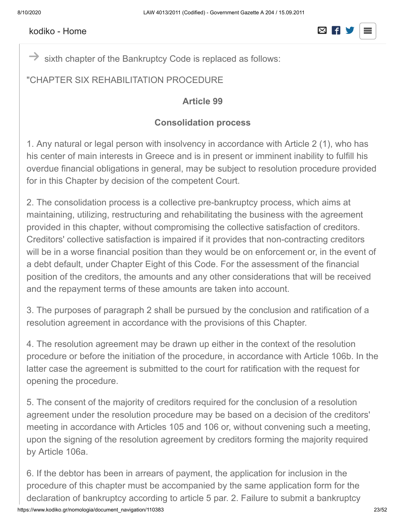

sixth chapter of the Bankruptcy Code is replaced as follows:  $\rightarrow$ 

#### "CHAPTER SIX REHABILITATION PROCEDURE

#### **Article 99**

#### **Consolidation process**

1. Any natural or legal person with insolvency in accordance with Article 2 (1), who has his center of main interests in Greece and is in present or imminent inability to fulfill his overdue financial obligations in general, may be subject to resolution procedure provided for in this Chapter by decision of the competent Court.

2. The consolidation process is a collective pre-bankruptcy process, which aims at maintaining, utilizing, restructuring and rehabilitating the business with the agreement provided in this chapter, without compromising the collective satisfaction of creditors. Creditors' collective satisfaction is impaired if it provides that non-contracting creditors will be in a worse financial position than they would be on enforcement or, in the event of a debt default, under Chapter Eight of this Code. For the assessment of the financial position of the creditors, the amounts and any other considerations that will be received and the repayment terms of these amounts are taken into account.

3. The purposes of paragraph 2 shall be pursued by the conclusion and ratification of a resolution agreement in accordance with the provisions of this Chapter.

4. The resolution agreement may be drawn up either in the context of the resolution procedure or before the initiation of the procedure, in accordance with Article 106b. In the latter case the agreement is submitted to the court for ratification with the request for opening the procedure.

5. The consent of the majority of creditors required for the conclusion of a resolution agreement under the resolution procedure may be based on a decision of the creditors' meeting in accordance with Articles 105 and 106 or, without convening such a meeting, upon the signing of the resolution agreement by creditors forming the majority required by Article 106a.

6. If the debtor has been in arrears of payment, the application for inclusion in the procedure of this chapter must be accompanied by the same application form for the declaration of bankruptcy according to article 5 par. 2. Failure to submit a bankruptcy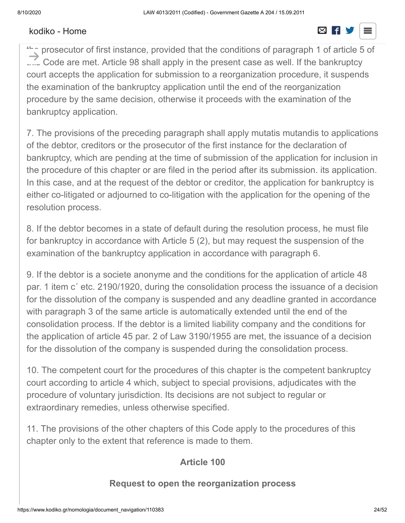#### application does not make the application in the application in the procedure of inclusion in the procedure of  $\Box$  $t_{\text{total}}$  is possible to submit a bankruptcy application by the creditors of  $\Box$

the prosecutor of first instance, provided that the conditions of paragraph 1 of article 5 of .... Code are met. Article 98 shall apply in the present case as well. If the bankruptcy court accepts the application for submission to a reorganization procedure, it suspends the examination of the bankruptcy application until the end of the reorganization procedure by the same decision, otherwise it proceeds with the examination of the bankruptcy application.  $\rightarrow$ 

7. The provisions of the preceding paragraph shall apply mutatis mutandis to applications of the debtor, creditors or the prosecutor of the first instance for the declaration of bankruptcy, which are pending at the time of submission of the application for inclusion in the procedure of this chapter or are filed in the period after its submission. its application. In this case, and at the request of the debtor or creditor, the application for bankruptcy is either co-litigated or adjourned to co-litigation with the application for the opening of the resolution process.

8. If the debtor becomes in a state of default during the resolution process, he must file for bankruptcy in accordance with Article 5 (2), but may request the suspension of the examination of the bankruptcy application in accordance with paragraph 6.

9. If the debtor is a societe anonyme and the conditions for the application of article 48 par. 1 item c΄ etc. 2190/1920, during the consolidation process the issuance of a decision for the dissolution of the company is suspended and any deadline granted in accordance with paragraph 3 of the same article is automatically extended until the end of the consolidation process. If the debtor is a limited liability company and the conditions for the application of article 45 par. 2 of Law 3190/1955 are met, the issuance of a decision for the dissolution of the company is suspended during the consolidation process.

10. The competent court for the procedures of this chapter is the competent bankruptcy court according to article 4 which, subject to special provisions, adjudicates with the procedure of voluntary jurisdiction. Its decisions are not subject to regular or extraordinary remedies, unless otherwise specified.

11. The provisions of the other chapters of this Code apply to the procedures of this chapter only to the extent that reference is made to them.

#### **Article 100**

#### **Request to open the reorganization process**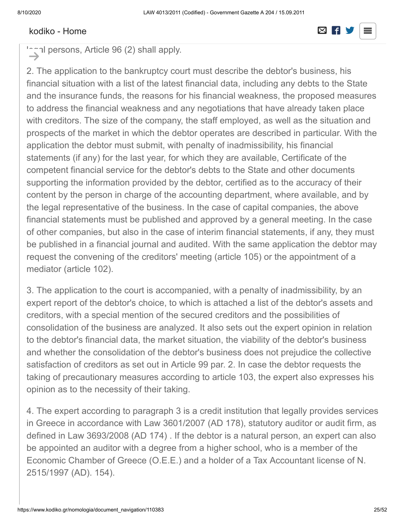#### $1.$  A debtor, in the person of whom the person of  $\overline{S}$  are methods of paragraph 1 of  $\overline{S}$  $m_{\text{c}}$  request to open a reorganization procedure. In the case of  $\mathcal{L}$

 $\sim$  al persons, Article 96 (2) shall apply.  $\rightarrow$ 

2. The application to the bankruptcy court must describe the debtor's business, his financial situation with a list of the latest financial data, including any debts to the State and the insurance funds, the reasons for his financial weakness, the proposed measures to address the financial weakness and any negotiations that have already taken place with creditors. The size of the company, the staff employed, as well as the situation and prospects of the market in which the debtor operates are described in particular. With the application the debtor must submit, with penalty of inadmissibility, his financial statements (if any) for the last year, for which they are available, Certificate of the competent financial service for the debtor's debts to the State and other documents supporting the information provided by the debtor, certified as to the accuracy of their content by the person in charge of the accounting department, where available, and by the legal representative of the business. In the case of capital companies, the above financial statements must be published and approved by a general meeting. In the case of other companies, but also in the case of interim financial statements, if any, they must be published in a financial journal and audited. With the same application the debtor may request the convening of the creditors' meeting (article 105) or the appointment of a mediator (article 102).

3. The application to the court is accompanied, with a penalty of inadmissibility, by an expert report of the debtor's choice, to which is attached a list of the debtor's assets and creditors, with a special mention of the secured creditors and the possibilities of consolidation of the business are analyzed. It also sets out the expert opinion in relation to the debtor's financial data, the market situation, the viability of the debtor's business and whether the consolidation of the debtor's business does not prejudice the collective satisfaction of creditors as set out in Article 99 par. 2. In case the debtor requests the taking of precautionary measures according to article 103, the expert also expresses his opinion as to the necessity of their taking.

4. The expert according to paragraph 3 is a credit institution that legally provides services in Greece in accordance with Law 3601/2007 (AD 178), statutory auditor or audit firm, as defined in Law 3693/2008 (AD 174) . If the debtor is a natural person, an expert can also be appointed an auditor with a degree from a higher school, who is a member of the Economic Chamber of Greece (O.E.E.) and a holder of a Tax Accountant license of N. 2515/1997 (AD). 154).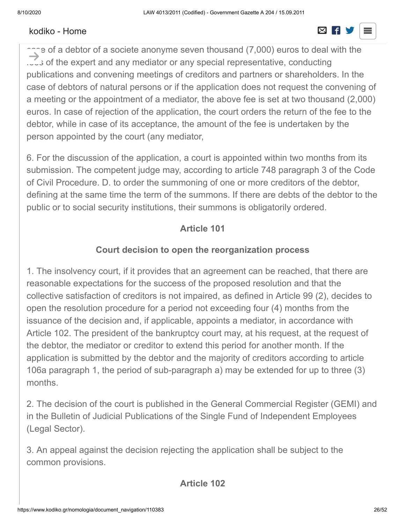#### 5. The application to the court is accompanied, with penalty of inadmissibility, by a  $p_{\text{r}} = \frac{p_{\text{r}}}{\sigma_{\text{r}}}$

 $\cap$  e of a debtor of a societe anonyme seven thousand (7,000) euros to deal with the ... is of the expert and any mediator or any special representative, conducting publications and convening meetings of creditors and partners or shareholders. In the case of debtors of natural persons or if the application does not request the convening of a meeting or the appointment of a mediator, the above fee is set at two thousand (2,000) euros. In case of rejection of the application, the court orders the return of the fee to the debtor, while in case of its acceptance, the amount of the fee is undertaken by the person appointed by the court (any mediator,  $\rightarrow$ 

6. For the discussion of the application, a court is appointed within two months from its submission. The competent judge may, according to article 748 paragraph 3 of the Code of Civil Procedure. D. to order the summoning of one or more creditors of the debtor, defining at the same time the term of the summons. If there are debts of the debtor to the public or to social security institutions, their summons is obligatorily ordered.

### **Article 101**

#### **Court decision to open the reorganization process**

1. The insolvency court, if it provides that an agreement can be reached, that there are reasonable expectations for the success of the proposed resolution and that the collective satisfaction of creditors is not impaired, as defined in Article 99 (2), decides to open the resolution procedure for a period not exceeding four (4) months from the issuance of the decision and, if applicable, appoints a mediator, in accordance with Article 102. The president of the bankruptcy court may, at his request, at the request of the debtor, the mediator or creditor to extend this period for another month. If the application is submitted by the debtor and the majority of creditors according to article 106a paragraph 1, the period of sub-paragraph a) may be extended for up to three (3) months.

2. The decision of the court is published in the General Commercial Register (GEMI) and in the Bulletin of Judicial Publications of the Single Fund of Independent Employees (Legal Sector).

3. An appeal against the decision rejecting the application shall be subject to the common provisions.

**Article 102**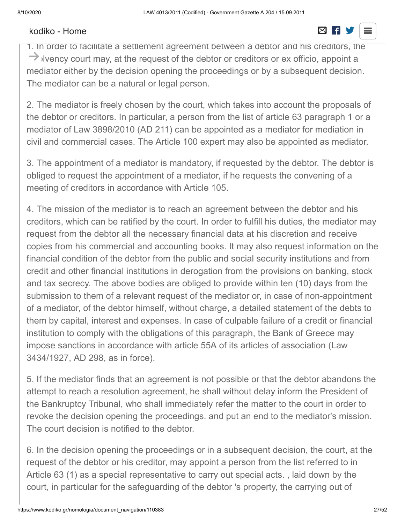#### [kodiko - Home](https://www.kodiko.gr/) and a structure of the structure of the structure  $\boxtimes$  **if y**

# **Appointment of a mediator and a special representative**

1. In order to facilitate a settlement agreement between a debtor and his creditors, the  $\rightarrow$  ilvency court may, at the request of the debtor or creditors or ex officio, appoint a mediator either by the decision opening the proceedings or by a subsequent decision. The mediator can be a natural or legal person.

2. The mediator is freely chosen by the court, which takes into account the proposals of the debtor or creditors. In particular, a person from the list of article 63 paragraph 1 or a mediator of Law 3898/2010 (AD 211) can be appointed as a mediator for mediation in civil and commercial cases. The Article 100 expert may also be appointed as mediator.

3. The appointment of a mediator is mandatory, if requested by the debtor. The debtor is obliged to request the appointment of a mediator, if he requests the convening of a meeting of creditors in accordance with Article 105.

4. The mission of the mediator is to reach an agreement between the debtor and his creditors, which can be ratified by the court. In order to fulfill his duties, the mediator may request from the debtor all the necessary financial data at his discretion and receive copies from his commercial and accounting books. It may also request information on the financial condition of the debtor from the public and social security institutions and from credit and other financial institutions in derogation from the provisions on banking, stock and tax secrecy. The above bodies are obliged to provide within ten (10) days from the submission to them of a relevant request of the mediator or, in case of non-appointment of a mediator, of the debtor himself, without charge, a detailed statement of the debts to them by capital, interest and expenses. In case of culpable failure of a credit or financial institution to comply with the obligations of this paragraph, the Bank of Greece may impose sanctions in accordance with article 55A of its articles of association (Law 3434/1927, AD 298, as in force).

5. If the mediator finds that an agreement is not possible or that the debtor abandons the attempt to reach a resolution agreement, he shall without delay inform the President of the Bankruptcy Tribunal, who shall immediately refer the matter to the court in order to revoke the decision opening the proceedings. and put an end to the mediator's mission. The court decision is notified to the debtor.

6. In the decision opening the proceedings or in a subsequent decision, the court, at the request of the debtor or his creditor, may appoint a person from the list referred to in Article 63 (1) as a special representative to carry out special acts. , laid down by the court, in particular for the safeguarding of the debtor 's property, the carrying out of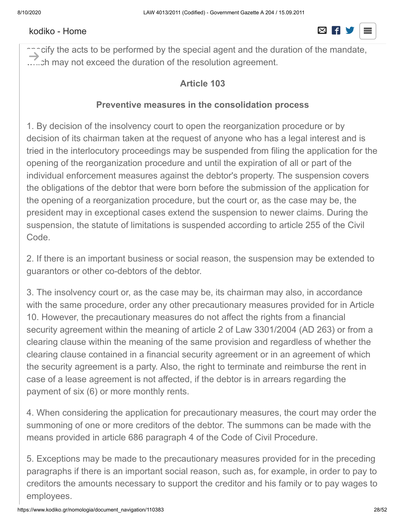#### [kodiko - Home](https://www.kodiko.gr/)  $\boxtimes$  F



 $\cap$ ៊ុcify the acts to be performed by the special agent and the duration of the mandate, ...... ch may not exceed the duration of the resolution agreement.  $\rightarrow$ 

#### **Article 103**

#### **Preventive measures in the consolidation process**

1. By decision of the insolvency court to open the reorganization procedure or by decision of its chairman taken at the request of anyone who has a legal interest and is tried in the interlocutory proceedings may be suspended from filing the application for the opening of the reorganization procedure and until the expiration of all or part of the individual enforcement measures against the debtor's property. The suspension covers the obligations of the debtor that were born before the submission of the application for the opening of a reorganization procedure, but the court or, as the case may be, the president may in exceptional cases extend the suspension to newer claims. During the suspension, the statute of limitations is suspended according to article 255 of the Civil Code.

2. If there is an important business or social reason, the suspension may be extended to guarantors or other co-debtors of the debtor.

3. The insolvency court or, as the case may be, its chairman may also, in accordance with the same procedure, order any other precautionary measures provided for in Article 10. However, the precautionary measures do not affect the rights from a financial security agreement within the meaning of article 2 of Law 3301/2004 (AD 263) or from a clearing clause within the meaning of the same provision and regardless of whether the clearing clause contained in a financial security agreement or in an agreement of which the security agreement is a party. Also, the right to terminate and reimburse the rent in case of a lease agreement is not affected, if the debtor is in arrears regarding the payment of six (6) or more monthly rents.

4. When considering the application for precautionary measures, the court may order the summoning of one or more creditors of the debtor. The summons can be made with the means provided in article 686 paragraph 4 of the Code of Civil Procedure.

5. Exceptions may be made to the precautionary measures provided for in the preceding paragraphs if there is an important social reason, such as, for example, in order to pay to creditors the amounts necessary to support the creditor and his family or to pay wages to employees.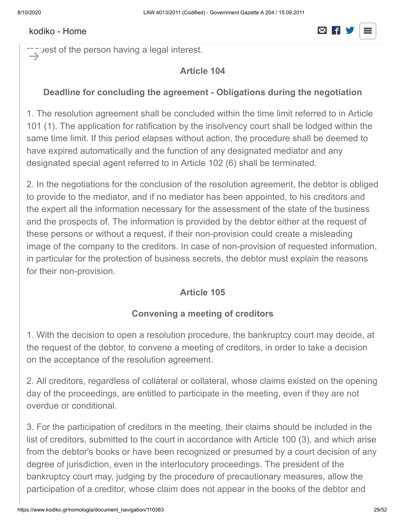#### $m_{\text{beam}}$  before referred to in the precaution  $\sim$ [kodiko - Home](https://www.kodiko.gr/)

# $\overline{\mathbf{S}}$  for the Bankruptcy Court may at any time revoke or reform, as the case of reform, as the case of  $\overline{\mathbf{S}}$

request of the person having a legal interest.  $\rightarrow$  :

#### **Article 104**

#### **Deadline for concluding the agreement - Obligations during the negotiation**

1. The resolution agreement shall be concluded within the time limit referred to in Article 101 (1). The application for ratification by the insolvency court shall be lodged within the same time limit. If this period elapses without action, the procedure shall be deemed to have expired automatically and the function of any designated mediator and any designated special agent referred to in Article 102 (6) shall be terminated.

2. In the negotiations for the conclusion of the resolution agreement, the debtor is obliged to provide to the mediator, and if no mediator has been appointed, to his creditors and the expert all the information necessary for the assessment of the state of the business and the prospects of. The information is provided by the debtor either at the request of these persons or without a request, if their non-provision could create a misleading image of the company to the creditors. In case of non-provision of requested information, in particular for the protection of business secrets, the debtor must explain the reasons for their non-provision.

### **Article 105**

### **Convening a meeting of creditors**

1. With the decision to open a resolution procedure, the bankruptcy court may decide, at the request of the debtor, to convene a meeting of creditors, in order to take a decision on the acceptance of the resolution agreement.

2. All creditors, regardless of collateral or collateral, whose claims existed on the opening day of the proceedings, are entitled to participate in the meeting, even if they are not overdue or conditional.

3. For the participation of creditors in the meeting, their claims should be included in the list of creditors, submitted to the court in accordance with Article 100 (3), and which arise from the debtor's books or have been recognized or presumed by a court decision of any degree of jurisdiction, even in the interlocutory proceedings. The president of the bankruptcy court may, judging by the procedure of precautionary measures, allow the participation of a creditor, whose claim does not appear in the books of the debtor and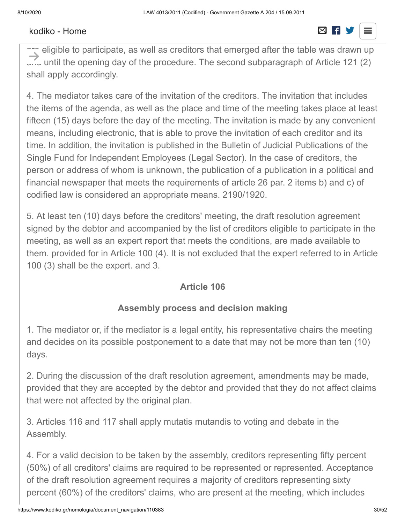#### has not been recognized or presumed by a court decision. In the same way, creditors not  $\frac{1}{\sqrt{2}}$  include the list of creditors submitted to the court in accordance with  $\frac{1}{\sqrt{2}}$

are eligible to participate, as well as creditors that emerged after the table was drawn up  $\ldots$  until the opening day of the procedure. The second subparagraph of Article 121 (2) shall apply accordingly.  $\rightarrow$ 

4. The mediator takes care of the invitation of the creditors. The invitation that includes the items of the agenda, as well as the place and time of the meeting takes place at least fifteen (15) days before the day of the meeting. The invitation is made by any convenient means, including electronic, that is able to prove the invitation of each creditor and its time. In addition, the invitation is published in the Bulletin of Judicial Publications of the Single Fund for Independent Employees (Legal Sector). In the case of creditors, the person or address of whom is unknown, the publication of a publication in a political and financial newspaper that meets the requirements of article 26 par. 2 items b) and c) of codified law is considered an appropriate means. 2190/1920.

5. At least ten (10) days before the creditors' meeting, the draft resolution agreement signed by the debtor and accompanied by the list of creditors eligible to participate in the meeting, as well as an expert report that meets the conditions, are made available to them. provided for in Article 100 (4). It is not excluded that the expert referred to in Article 100 (3) shall be the expert. and 3.

### **Article 106**

### **Assembly process and decision making**

1. The mediator or, if the mediator is a legal entity, his representative chairs the meeting and decides on its possible postponement to a date that may not be more than ten (10) days.

2. During the discussion of the draft resolution agreement, amendments may be made, provided that they are accepted by the debtor and provided that they do not affect claims that were not affected by the original plan.

3. Articles 116 and 117 shall apply mutatis mutandis to voting and debate in the Assembly.

4. For a valid decision to be taken by the assembly, creditors representing fifty percent (50%) of all creditors' claims are required to be represented or represented. Acceptance of the draft resolution agreement requires a majority of creditors representing sixty percent (60%) of the creditors' claims, who are present at the meeting, which includes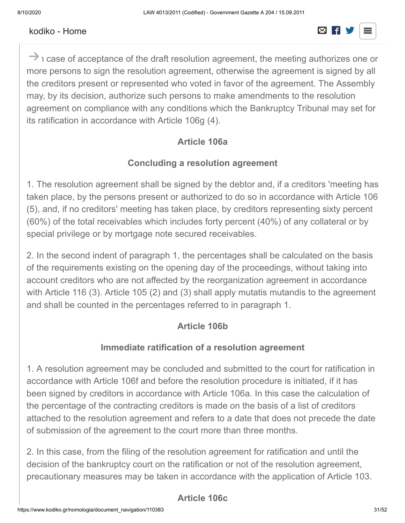#### nounce from a secured creditors, who are present at the meeting. [kodiko - Home](https://www.kodiko.gr/)



 $\rightarrow$  1 case of acceptance of the draft resolution agreement, the meeting authorizes one or more persons to sign the resolution agreement, otherwise the agreement is signed by all the creditors present or represented who voted in favor of the agreement. The Assembly may, by its decision, authorize such persons to make amendments to the resolution agreement on compliance with any conditions which the Bankruptcy Tribunal may set for its ratification in accordance with Article 106g (4).

### **Article 106a**

#### **Concluding a resolution agreement**

1. The resolution agreement shall be signed by the debtor and, if a creditors 'meeting has taken place, by the persons present or authorized to do so in accordance with Article 106 (5), and, if no creditors' meeting has taken place, by creditors representing sixty percent (60%) of the total receivables which includes forty percent (40%) of any collateral or by special privilege or by mortgage note secured receivables.

2. In the second indent of paragraph 1, the percentages shall be calculated on the basis of the requirements existing on the opening day of the proceedings, without taking into account creditors who are not affected by the reorganization agreement in accordance with Article 116 (3). Article 105 (2) and (3) shall apply mutatis mutandis to the agreement and shall be counted in the percentages referred to in paragraph 1.

### **Article 106b**

### **Immediate ratification of a resolution agreement**

1. A resolution agreement may be concluded and submitted to the court for ratification in accordance with Article 106f and before the resolution procedure is initiated, if it has been signed by creditors in accordance with Article 106a. In this case the calculation of the percentage of the contracting creditors is made on the basis of a list of creditors attached to the resolution agreement and refers to a date that does not precede the date of submission of the agreement to the court more than three months.

2. In this case, from the filing of the resolution agreement for ratification and until the decision of the bankruptcy court on the ratification or not of the resolution agreement, precautionary measures may be taken in accordance with the application of Article 103.

### **Article 106c**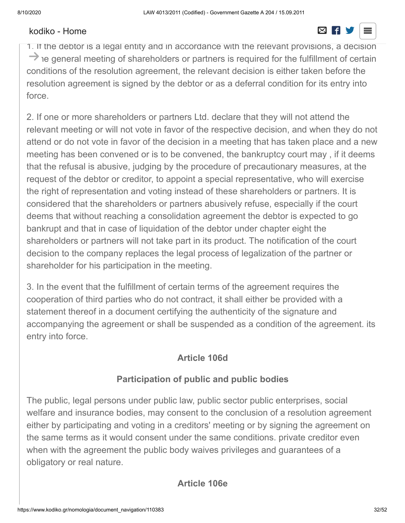# **Partnership of shareholders or partners - Partnership of third parties**

1. If the debtor is a legal entity and in accordance with the relevant provisions, a decision  $\rightarrow$  ie general meeting of shareholders or partners is required for the fulfillment of certain conditions of the resolution agreement, the relevant decision is either taken before the resolution agreement is signed by the debtor or as a deferral condition for its entry into force.

2. If one or more shareholders or partners Ltd. declare that they will not attend the relevant meeting or will not vote in favor of the respective decision, and when they do not attend or do not vote in favor of the decision in a meeting that has taken place and a new meeting has been convened or is to be convened, the bankruptcy court may , if it deems that the refusal is abusive, judging by the procedure of precautionary measures, at the request of the debtor or creditor, to appoint a special representative, who will exercise the right of representation and voting instead of these shareholders or partners. It is considered that the shareholders or partners abusively refuse, especially if the court deems that without reaching a consolidation agreement the debtor is expected to go bankrupt and that in case of liquidation of the debtor under chapter eight the shareholders or partners will not take part in its product. The notification of the court decision to the company replaces the legal process of legalization of the partner or shareholder for his participation in the meeting.

3. In the event that the fulfillment of certain terms of the agreement requires the cooperation of third parties who do not contract, it shall either be provided with a statement thereof in a document certifying the authenticity of the signature and accompanying the agreement or shall be suspended as a condition of the agreement. its entry into force.

#### **Article 106d**

#### **Participation of public and public bodies**

The public, legal persons under public law, public sector public enterprises, social welfare and insurance bodies, may consent to the conclusion of a resolution agreement either by participating and voting in a creditors' meeting or by signing the agreement on the same terms as it would consent under the same conditions. private creditor even when with the agreement the public body waives privileges and guarantees of a obligatory or real nature.

#### **Article 106e**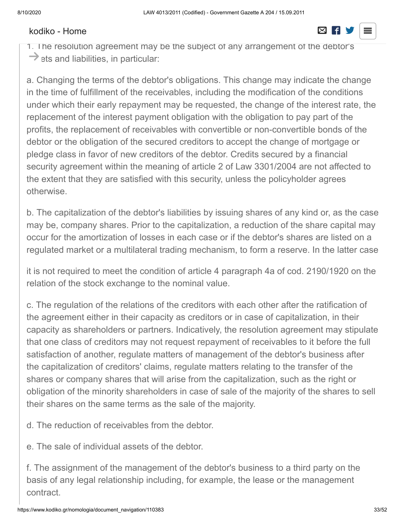1. The resolution agreement may be the subject of any arrangement of the debtor's  $\rightarrow$  ets and liabilities, in particular:

a. Changing the terms of the debtor's obligations. This change may indicate the change in the time of fulfillment of the receivables, including the modification of the conditions under which their early repayment may be requested, the change of the interest rate, the replacement of the interest payment obligation with the obligation to pay part of the profits, the replacement of receivables with convertible or non-convertible bonds of the debtor or the obligation of the secured creditors to accept the change of mortgage or pledge class in favor of new creditors of the debtor. Credits secured by a financial security agreement within the meaning of article 2 of Law 3301/2004 are not affected to the extent that they are satisfied with this security, unless the policyholder agrees otherwise.

b. The capitalization of the debtor's liabilities by issuing shares of any kind or, as the case may be, company shares. Prior to the capitalization, a reduction of the share capital may occur for the amortization of losses in each case or if the debtor's shares are listed on a regulated market or a multilateral trading mechanism, to form a reserve. In the latter case

it is not required to meet the condition of article 4 paragraph 4a of cod. 2190/1920 on the relation of the stock exchange to the nominal value.

c. The regulation of the relations of the creditors with each other after the ratification of the agreement either in their capacity as creditors or in case of capitalization, in their capacity as shareholders or partners. Indicatively, the resolution agreement may stipulate that one class of creditors may not request repayment of receivables to it before the full satisfaction of another, regulate matters of management of the debtor's business after the capitalization of creditors' claims, regulate matters relating to the transfer of the shares or company shares that will arise from the capitalization, such as the right or obligation of the minority shareholders in case of sale of the majority of the shares to sell their shares on the same terms as the sale of the majority.

d. The reduction of receivables from the debtor.

e. The sale of individual assets of the debtor.

f. The assignment of the management of the debtor's business to a third party on the basis of any legal relationship including, for example, the lease or the management contract.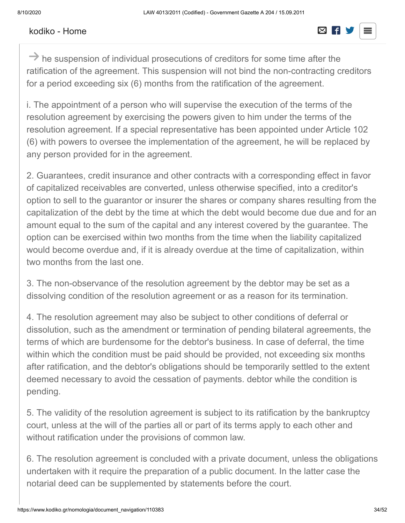#### $\frac{1}{2}$  to the more specific provisions of article 106i. [kodiko - Home](https://www.kodiko.gr/)

# $\overline{\mathbf{g}}$  is transfer of all or part of the debtor's enterprise to a third party of the debtor's enterprise to a company of the debtor's enterprise to a third party of the debtor's enterprise to a company of the debtor'

 $\rightarrow$  he suspension of individual prosecutions of creditors for some time after the ratification of the agreement. This suspension will not bind the non-contracting creditors for a period exceeding six (6) months from the ratification of the agreement.

i. The appointment of a person who will supervise the execution of the terms of the resolution agreement by exercising the powers given to him under the terms of the resolution agreement. If a special representative has been appointed under Article 102 (6) with powers to oversee the implementation of the agreement, he will be replaced by any person provided for in the agreement.

2. Guarantees, credit insurance and other contracts with a corresponding effect in favor of capitalized receivables are converted, unless otherwise specified, into a creditor's option to sell to the guarantor or insurer the shares or company shares resulting from the capitalization of the debt by the time at which the debt would become due due and for an amount equal to the sum of the capital and any interest covered by the guarantee. The option can be exercised within two months from the time when the liability capitalized would become overdue and, if it is already overdue at the time of capitalization, within two months from the last one.

3. The non-observance of the resolution agreement by the debtor may be set as a dissolving condition of the resolution agreement or as a reason for its termination.

4. The resolution agreement may also be subject to other conditions of deferral or dissolution, such as the amendment or termination of pending bilateral agreements, the terms of which are burdensome for the debtor's business. In case of deferral, the time within which the condition must be paid should be provided, not exceeding six months after ratification, and the debtor's obligations should be temporarily settled to the extent deemed necessary to avoid the cessation of payments. debtor while the condition is pending.

5. The validity of the resolution agreement is subject to its ratification by the bankruptcy court, unless at the will of the parties all or part of its terms apply to each other and without ratification under the provisions of common law.

6. The resolution agreement is concluded with a private document, unless the obligations undertaken with it require the preparation of a public document. In the latter case the notarial deed can be supplemented by statements before the court.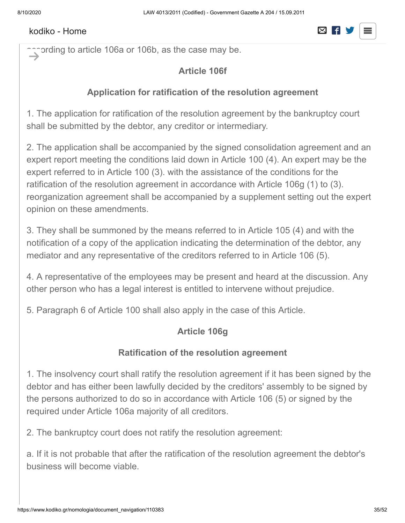#### $\epsilon$  to the agreement, which is approximately debtor and the debtor and the creditors and the creditors and the creditors and the creditors and the creditors and the creditors and the creditors and the creditors and the c [kodiko - Home](https://www.kodiko.gr/)  $\boxtimes$  F

# $\overline{2}$  . The resolution agreement must be accompanied by a business plan with a duration  $\overline{2}$

 $\sim$  ording to article 106a or 106b, as the case may be.  $\rightarrow$ 

### **Article 106f**

#### **Application for ratification of the resolution agreement**

1. The application for ratification of the resolution agreement by the bankruptcy court shall be submitted by the debtor, any creditor or intermediary.

2. The application shall be accompanied by the signed consolidation agreement and an expert report meeting the conditions laid down in Article 100 (4). An expert may be the expert referred to in Article 100 (3). with the assistance of the conditions for the ratification of the resolution agreement in accordance with Article 106g (1) to (3). reorganization agreement shall be accompanied by a supplement setting out the expert opinion on these amendments.

3. They shall be summoned by the means referred to in Article 105 (4) and with the notification of a copy of the application indicating the determination of the debtor, any mediator and any representative of the creditors referred to in Article 106 (5).

4. A representative of the employees may be present and heard at the discussion. Any other person who has a legal interest is entitled to intervene without prejudice.

5. Paragraph 6 of Article 100 shall also apply in the case of this Article.

### **Article 106g**

### **Ratification of the resolution agreement**

1. The insolvency court shall ratify the resolution agreement if it has been signed by the debtor and has either been lawfully decided by the creditors' assembly to be signed by the persons authorized to do so in accordance with Article 106 (5) or signed by the required under Article 106a majority of all creditors.

2. The bankruptcy court does not ratify the resolution agreement:

a. If it is not probable that after the ratification of the resolution agreement the debtor's business will become viable.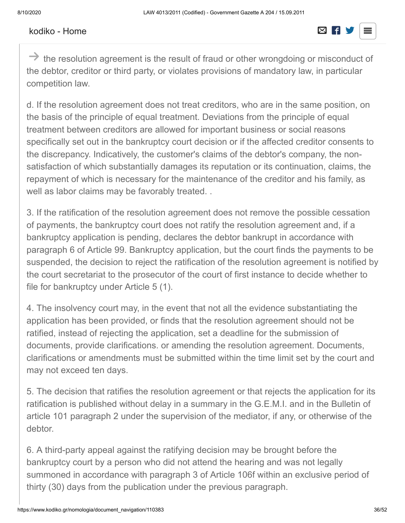#### Rodino Pionio [kodiko - Home](https://www.kodiko.gr/)

# b. If it is probable that the creditors' collective satisfaction is impaired with  $\Box$

 $\rightarrow$  the resolution agreement is the result of fraud or other wrongdoing or misconduct of the debtor, creditor or third party, or violates provisions of mandatory law, in particular competition law.

d. If the resolution agreement does not treat creditors, who are in the same position, on the basis of the principle of equal treatment. Deviations from the principle of equal treatment between creditors are allowed for important business or social reasons specifically set out in the bankruptcy court decision or if the affected creditor consents to the discrepancy. Indicatively, the customer's claims of the debtor's company, the nonsatisfaction of which substantially damages its reputation or its continuation, claims, the repayment of which is necessary for the maintenance of the creditor and his family, as well as labor claims may be favorably treated. .

3. If the ratification of the resolution agreement does not remove the possible cessation of payments, the bankruptcy court does not ratify the resolution agreement and, if a bankruptcy application is pending, declares the debtor bankrupt in accordance with paragraph 6 of Article 99. Bankruptcy application, but the court finds the payments to be suspended, the decision to reject the ratification of the resolution agreement is notified by the court secretariat to the prosecutor of the court of first instance to decide whether to file for bankruptcy under Article 5 (1).

4. The insolvency court may, in the event that not all the evidence substantiating the application has been provided, or finds that the resolution agreement should not be ratified, instead of rejecting the application, set a deadline for the submission of documents, provide clarifications. or amending the resolution agreement. Documents, clarifications or amendments must be submitted within the time limit set by the court and may not exceed ten days.

5. The decision that ratifies the resolution agreement or that rejects the application for its ratification is published without delay in a summary in the G.E.M.I. and in the Bulletin of article 101 paragraph 2 under the supervision of the mediator, if any, or otherwise of the debtor.

6. A third-party appeal against the ratifying decision may be brought before the bankruptcy court by a person who did not attend the hearing and was not legally summoned in accordance with paragraph 3 of Article 106f within an exclusive period of thirty (30) days from the publication under the previous paragraph.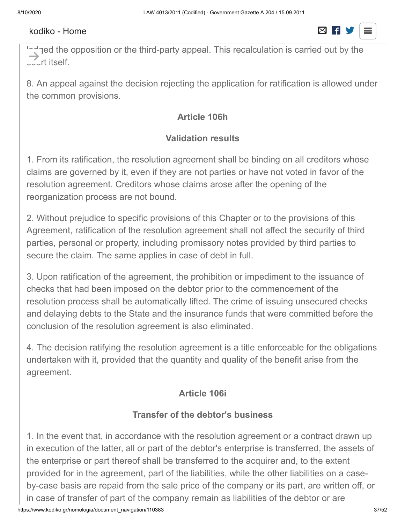#### $\overline{\mathbf{z}}$  . In the case of paragraph 6, the court shall annul the agreement only if it is not possible in the agreement only if  $\overline{\mathbf{z}}$  $t_{\text{total}}$  it by recall the amounts entitled to be received by the person who be received by the person who be received by the person who be received by the person who be received by the person who be received by the perso

 $\sim$  and the opposition or the third-party appeal. This recalculation is carried out by the court itself.  $\rightarrow$  :

8. An appeal against the decision rejecting the application for ratification is allowed under the common provisions.

## **Article 106h**

## **Validation results**

1. From its ratification, the resolution agreement shall be binding on all creditors whose claims are governed by it, even if they are not parties or have not voted in favor of the resolution agreement. Creditors whose claims arose after the opening of the reorganization process are not bound.

2. Without prejudice to specific provisions of this Chapter or to the provisions of this Agreement, ratification of the resolution agreement shall not affect the security of third parties, personal or property, including promissory notes provided by third parties to secure the claim. The same applies in case of debt in full.

3. Upon ratification of the agreement, the prohibition or impediment to the issuance of checks that had been imposed on the debtor prior to the commencement of the resolution process shall be automatically lifted. The crime of issuing unsecured checks and delaying debts to the State and the insurance funds that were committed before the conclusion of the resolution agreement is also eliminated.

4. The decision ratifying the resolution agreement is a title enforceable for the obligations undertaken with it, provided that the quantity and quality of the benefit arise from the agreement.

## **Article 106i**

## **Transfer of the debtor's business**

1. In the event that, in accordance with the resolution agreement or a contract drawn up in execution of the latter, all or part of the debtor's enterprise is transferred, the assets of the enterprise or part thereof shall be transferred to the acquirer and, to the extent provided for in the agreement, part of the liabilities, while the other liabilities on a caseby-case basis are repaid from the sale price of the company or its part, are written off, or in case of transfer of part of the company remain as liabilities of the debtor or are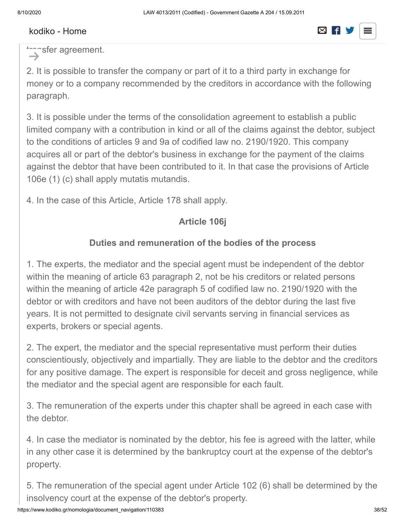

transfer agreement.  $\rightarrow$ 

2. It is possible to transfer the company or part of it to a third party in exchange for money or to a company recommended by the creditors in accordance with the following paragraph.

3. It is possible under the terms of the consolidation agreement to establish a public limited company with a contribution in kind or all of the claims against the debtor, subject to the conditions of articles 9 and 9a of codified law no. 2190/1920. This company acquires all or part of the debtor's business in exchange for the payment of the claims against the debtor that have been contributed to it. In that case the provisions of Article 106e (1) (c) shall apply mutatis mutandis.

4. In the case of this Article, Article 178 shall apply.

#### **Article 106j**

#### **Duties and remuneration of the bodies of the process**

1. The experts, the mediator and the special agent must be independent of the debtor within the meaning of article 63 paragraph 2, not be his creditors or related persons within the meaning of article 42e paragraph 5 of codified law no. 2190/1920 with the debtor or with creditors and have not been auditors of the debtor during the last five years. It is not permitted to designate civil servants serving in financial services as experts, brokers or special agents.

2. The expert, the mediator and the special representative must perform their duties conscientiously, objectively and impartially. They are liable to the debtor and the creditors for any positive damage. The expert is responsible for deceit and gross negligence, while the mediator and the special agent are responsible for each fault.

3. The remuneration of the experts under this chapter shall be agreed in each case with the debtor.

4. In case the mediator is nominated by the debtor, his fee is agreed with the latter, while in any other case it is determined by the bankruptcy court at the expense of the debtor's property.

5. The remuneration of the special agent under Article 102 (6) shall be determined by the insolvency court at the expense of the debtor's property.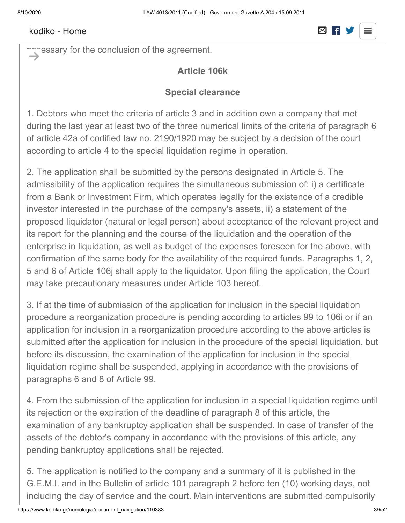#### [kodiko - Home](https://www.kodiko.gr/)  $\boxtimes$  F S

#### 6. The experts, the mediator and the special representative shall be obliged not to  $\frac{d}{dt}$  is the performance of the performance of the performance of the performance of the performance of the performance of the performance of the performance of the performance of the performance of the performance of

nches are for the conclusion of the agreement.  $\rightarrow$ 

### **Article 106k**

#### **Special clearance**

1. Debtors who meet the criteria of article 3 and in addition own a company that met during the last year at least two of the three numerical limits of the criteria of paragraph 6 of article 42a of codified law no. 2190/1920 may be subject by a decision of the court according to article 4 to the special liquidation regime in operation.

2. The application shall be submitted by the persons designated in Article 5. The admissibility of the application requires the simultaneous submission of: i) a certificate from a Bank or Investment Firm, which operates legally for the existence of a credible investor interested in the purchase of the company's assets, ii) a statement of the proposed liquidator (natural or legal person) about acceptance of the relevant project and its report for the planning and the course of the liquidation and the operation of the enterprise in liquidation, as well as budget of the expenses foreseen for the above, with confirmation of the same body for the availability of the required funds. Paragraphs 1, 2, 5 and 6 of Article 106j shall apply to the liquidator. Upon filing the application, the Court may take precautionary measures under Article 103 hereof.

3. If at the time of submission of the application for inclusion in the special liquidation procedure a reorganization procedure is pending according to articles 99 to 106i or if an application for inclusion in a reorganization procedure according to the above articles is submitted after the application for inclusion in the procedure of the special liquidation, but before its discussion, the examination of the application for inclusion in the special liquidation regime shall be suspended, applying in accordance with the provisions of paragraphs 6 and 8 of Article 99.

4. From the submission of the application for inclusion in a special liquidation regime until its rejection or the expiration of the deadline of paragraph 8 of this article, the examination of any bankruptcy application shall be suspended. In case of transfer of the assets of the debtor's company in accordance with the provisions of this article, any pending bankruptcy applications shall be rejected.

5. The application is notified to the company and a summary of it is published in the G.E.M.I. and in the Bulletin of article 101 paragraph 2 before ten (10) working days, not including the day of service and the court. Main interventions are submitted compulsorily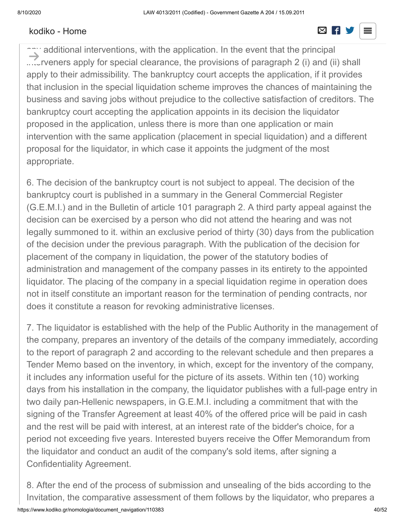#### [kodiko - Home](https://www.kodiko.gr/)  $\boxtimes$  **R**

#### and with a penalty of inadmissibility no later than the trial,  $\overline{\phantom{a}}$  working days before the trial,  $\overline{\phantom{a}}$ when same above calculation of days, and are computed, and are computed, as well as  $\mathcal{C}$

any additional interventions, with the application. In the event that the principal ...Crveners apply for special clearance, the provisions of paragraph 2 (i) and (ii) shall apply to their admissibility. The bankruptcy court accepts the application, if it provides that inclusion in the special liquidation scheme improves the chances of maintaining the business and saving jobs without prejudice to the collective satisfaction of creditors. The bankruptcy court accepting the application appoints in its decision the liquidator proposed in the application, unless there is more than one application or main intervention with the same application (placement in special liquidation) and a different proposal for the liquidator, in which case it appoints the judgment of the most appropriate.  $\rightarrow$ 

6. The decision of the bankruptcy court is not subject to appeal. The decision of the bankruptcy court is published in a summary in the General Commercial Register (G.E.M.I.) and in the Bulletin of article 101 paragraph 2. A third party appeal against the decision can be exercised by a person who did not attend the hearing and was not legally summoned to it. within an exclusive period of thirty (30) days from the publication of the decision under the previous paragraph. With the publication of the decision for placement of the company in liquidation, the power of the statutory bodies of administration and management of the company passes in its entirety to the appointed liquidator. The placing of the company in a special liquidation regime in operation does not in itself constitute an important reason for the termination of pending contracts, nor does it constitute a reason for revoking administrative licenses.

7. The liquidator is established with the help of the Public Authority in the management of the company, prepares an inventory of the details of the company immediately, according to the report of paragraph 2 and according to the relevant schedule and then prepares a Tender Memo based on the inventory, in which, except for the inventory of the company, it includes any information useful for the picture of its assets. Within ten (10) working days from his installation in the company, the liquidator publishes with a full-page entry in two daily pan-Hellenic newspapers, in G.E.M.I. including a commitment that with the signing of the Transfer Agreement at least 40% of the offered price will be paid in cash and the rest will be paid with interest, at an interest rate of the bidder's choice, for a period not exceeding five years. Interested buyers receive the Offer Memorandum from the liquidator and conduct an audit of the company's sold items, after signing a Confidentiality Agreement.

https://www.kodiko.gr/nomologia/document\_navigation/110383 40/52 8. After the end of the process of submission and unsealing of the bids according to the Invitation, the comparative assessment of them follows by the liquidator, who prepares a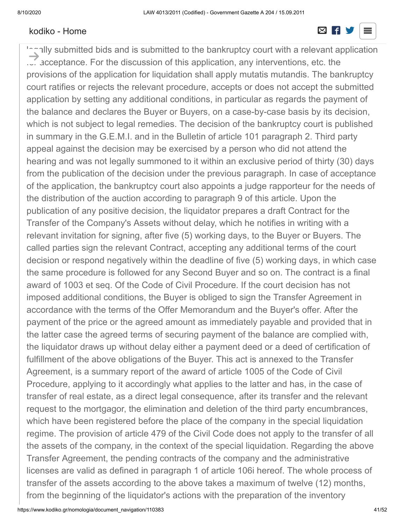#### [kodiko - Home](https://www.kodiko.gr/) and a series and a series and a series and a series of  $\boxtimes$  new series and a series of  $\boxtimes$  new series and a series of  $\boxtimes$  new series and a series of  $\boxtimes$  new series and a series of  $\boxtimes$  new series and

#### relevant report in which he proposes the order of the bids, the acceptance of the most  $\overline{\phantom{a}}$  and the averageous offer and the tender. This report is not the tender. This report is not those who have  $\overline{\phantom{a}}$

logally submitted bids and is submitted to the bankruptcy court with a relevant application  $\ldots$  acceptance. For the discussion of this application, any interventions, etc. the provisions of the application for liquidation shall apply mutatis mutandis. The bankruptcy court ratifies or rejects the relevant procedure, accepts or does not accept the submitted application by setting any additional conditions, in particular as regards the payment of the balance and declares the Buyer or Buyers, on a case-by-case basis by its decision, which is not subject to legal remedies. The decision of the bankruptcy court is published in summary in the G.E.M.I. and in the Bulletin of article 101 paragraph 2. Third party appeal against the decision may be exercised by a person who did not attend the hearing and was not legally summoned to it within an exclusive period of thirty (30) days from the publication of the decision under the previous paragraph. In case of acceptance of the application, the bankruptcy court also appoints a judge rapporteur for the needs of the distribution of the auction according to paragraph 9 of this article. Upon the publication of any positive decision, the liquidator prepares a draft Contract for the Transfer of the Company's Assets without delay, which he notifies in writing with a relevant invitation for signing, after five (5) working days, to the Buyer or Buyers. The called parties sign the relevant Contract, accepting any additional terms of the court decision or respond negatively within the deadline of five (5) working days, in which case the same procedure is followed for any Second Buyer and so on. The contract is a final award of 1003 et seq. Of the Code of Civil Procedure. If the court decision has not imposed additional conditions, the Buyer is obliged to sign the Transfer Agreement in accordance with the terms of the Offer Memorandum and the Buyer's offer. After the payment of the price or the agreed amount as immediately payable and provided that in the latter case the agreed terms of securing payment of the balance are complied with, the liquidator draws up without delay either a payment deed or a deed of certification of fulfillment of the above obligations of the Buyer. This act is annexed to the Transfer Agreement, is a summary report of the award of article 1005 of the Code of Civil Procedure, applying to it accordingly what applies to the latter and has, in the case of transfer of real estate, as a direct legal consequence, after its transfer and the relevant request to the mortgagor, the elimination and deletion of the third party encumbrances, which have been registered before the place of the company in the special liquidation regime. The provision of article 479 of the Civil Code does not apply to the transfer of all the assets of the company, in the context of the special liquidation. Regarding the above Transfer Agreement, the pending contracts of the company and the administrative licenses are valid as defined in paragraph 1 of article 106i hereof. The whole process of transfer of the assets according to the above takes a maximum of twelve (12) months, from the beginning of the liquidator's actions with the preparation of the inventory  $\rightarrow$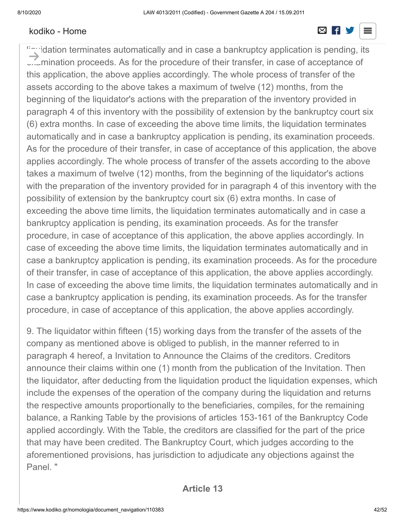#### [kodiko - Home](https://www.kodiko.gr/) and a strong strong strong strong strong strong strong strong strong strong strong strong strong



""idation terminates automatically and in case a bankruptcy application is pending, its **Examination proceeds. As for the procedure of their transfer, in case of acceptance of** this application, the above applies accordingly. The whole process of transfer of the assets according to the above takes a maximum of twelve (12) months, from the beginning of the liquidator's actions with the preparation of the inventory provided in paragraph 4 of this inventory with the possibility of extension by the bankruptcy court six (6) extra months. In case of exceeding the above time limits, the liquidation terminates automatically and in case a bankruptcy application is pending, its examination proceeds. As for the procedure of their transfer, in case of acceptance of this application, the above applies accordingly. The whole process of transfer of the assets according to the above takes a maximum of twelve (12) months, from the beginning of the liquidator's actions with the preparation of the inventory provided for in paragraph 4 of this inventory with the possibility of extension by the bankruptcy court six (6) extra months. In case of exceeding the above time limits, the liquidation terminates automatically and in case a bankruptcy application is pending, its examination proceeds. As for the transfer procedure, in case of acceptance of this application, the above applies accordingly. In case of exceeding the above time limits, the liquidation terminates automatically and in case a bankruptcy application is pending, its examination proceeds. As for the procedure of their transfer, in case of acceptance of this application, the above applies accordingly. In case of exceeding the above time limits, the liquidation terminates automatically and in case a bankruptcy application is pending, its examination proceeds. As for the transfer procedure, in case of acceptance of this application, the above applies accordingly.  $\rightarrow$ 

9. The liquidator within fifteen (15) working days from the transfer of the assets of the company as mentioned above is obliged to publish, in the manner referred to in paragraph 4 hereof, a Invitation to Announce the Claims of the creditors. Creditors announce their claims within one (1) month from the publication of the Invitation. Then the liquidator, after deducting from the liquidation product the liquidation expenses, which include the expenses of the operation of the company during the liquidation and returns the respective amounts proportionally to the beneficiaries, compiles, for the remaining balance, a Ranking Table by the provisions of articles 153-161 of the Bankruptcy Code applied accordingly. With the Table, the creditors are classified for the part of the price that may have been credited. The Bankruptcy Court, which judges according to the aforementioned provisions, has jurisdiction to adjudicate any objections against the Panel. "

### **Article 13**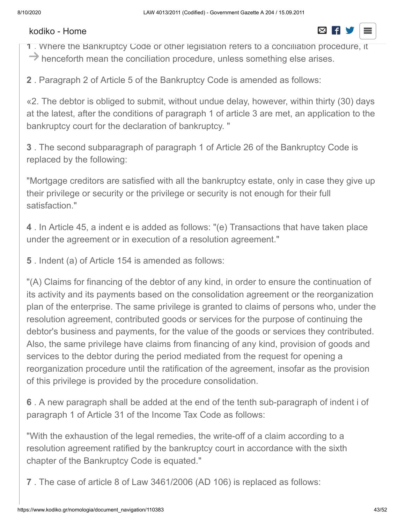**1** . Where the Bankruptcy Code or other legislation refers to a conciliation procedure, it

 $\rightarrow$  henceforth mean the conciliation procedure, unless something else arises.

**2** . Paragraph 2 of Article 5 of the Bankruptcy Code is amended as follows:

«2. The debtor is obliged to submit, without undue delay, however, within thirty (30) days at the latest, after the conditions of paragraph 1 of article 3 are met, an application to the bankruptcy court for the declaration of bankruptcy. "

**3** . The second subparagraph of paragraph 1 of Article 26 of the Bankruptcy Code is replaced by the following:

"Mortgage creditors are satisfied with all the bankruptcy estate, only in case they give up their privilege or security or the privilege or security is not enough for their full satisfaction."

**4** . In Article 45, a indent e is added as follows: "(e) Transactions that have taken place under the agreement or in execution of a resolution agreement."

**5** . Indent (a) of Article 154 is amended as follows:

"(A) Claims for financing of the debtor of any kind, in order to ensure the continuation of its activity and its payments based on the consolidation agreement or the reorganization plan of the enterprise. The same privilege is granted to claims of persons who, under the resolution agreement, contributed goods or services for the purpose of continuing the debtor's business and payments, for the value of the goods or services they contributed. Also, the same privilege have claims from financing of any kind, provision of goods and services to the debtor during the period mediated from the request for opening a reorganization procedure until the ratification of the agreement, insofar as the provision of this privilege is provided by the procedure consolidation.

**6** . A new paragraph shall be added at the end of the tenth sub-paragraph of indent i of paragraph 1 of Article 31 of the Income Tax Code as follows:

"With the exhaustion of the legal remedies, the write-off of a claim according to a resolution agreement ratified by the bankruptcy court in accordance with the sixth chapter of the Bankruptcy Code is equated."

**7** . The case of article 8 of Law 3461/2006 (AD 106) is replaced as follows: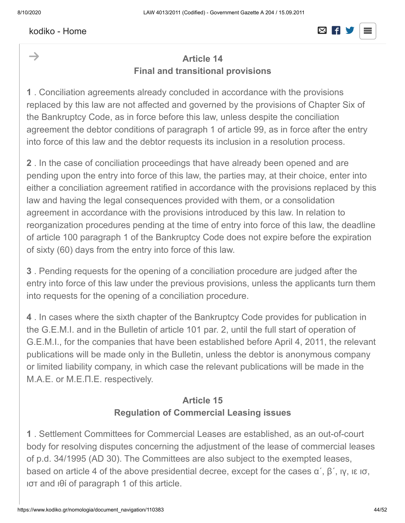$\rightarrow$ 

#### "The acquisition of securities is part of the company's consolidation process in according to the Bankruptcy Code." [kodiko - Home](https://www.kodiko.gr/)

# **Article 14 Final and transitional provisions**

**1** . Conciliation agreements already concluded in accordance with the provisions replaced by this law are not affected and governed by the provisions of Chapter Six of the Bankruptcy Code, as in force before this law, unless despite the conciliation agreement the debtor conditions of paragraph 1 of article 99, as in force after the entry into force of this law and the debtor requests its inclusion in a resolution process.

**2** . In the case of conciliation proceedings that have already been opened and are pending upon the entry into force of this law, the parties may, at their choice, enter into either a conciliation agreement ratified in accordance with the provisions replaced by this law and having the legal consequences provided with them, or a consolidation agreement in accordance with the provisions introduced by this law. In relation to reorganization procedures pending at the time of entry into force of this law, the deadline of article 100 paragraph 1 of the Bankruptcy Code does not expire before the expiration of sixty (60) days from the entry into force of this law.

**3** . Pending requests for the opening of a conciliation procedure are judged after the entry into force of this law under the previous provisions, unless the applicants turn them into requests for the opening of a conciliation procedure.

**4** . In cases where the sixth chapter of the Bankruptcy Code provides for publication in the G.E.M.I. and in the Bulletin of article 101 par. 2, until the full start of operation of G.E.M.I., for the companies that have been established before April 4, 2011, the relevant publications will be made only in the Bulletin, unless the debtor is anonymous company or limited liability company, in which case the relevant publications will be made in the M.A.E. or Μ.Ε.Π.Ε. respectively.

## **Article 15 Regulation of Commercial Leasing issues**

**1** . Settlement Committees for Commercial Leases are established, as an out-of-court body for resolving disputes concerning the adjustment of the lease of commercial leases of p.d. 34/1995 (AD 30). The Committees are also subject to the exempted leases, based on article 4 of the above presidential decree, except for the cases  $\alpha'$ ,  $\beta'$ ,  $\alpha$ ,  $\beta$ ,  $\alpha$ ,  $\beta$ ιστ and ιθί of paragraph 1 of this article.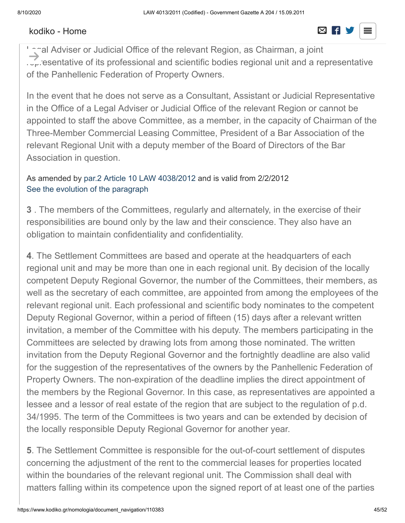#### [kodiko - Home](https://www.kodiko.gr/) and a strong strong strong strong strong strong strong strong strong strong strong strong strong

#### **2** . The Committees are composed of three (3) members with their respective deputies  $\overline{\phantom{a}}$  follows: a  $\overline{\phantom{a}}$  and  $\overline{\phantom{a}}$   $\overline{\phantom{a}}$   $\overline{\phantom{a}}$   $\overline{\phantom{a}}$   $\overline{\phantom{a}}$   $\overline{\phantom{a}}$   $\overline{\phantom{a}}$   $\overline{\phantom{a}}$   $\overline{\phantom{a}}$   $\overline{\phantom{a}}$   $\overline{\phantom{a}}$   $\overline{\phantom{a}}$   $\overline{\phantom{a}}$   $\overline{\phantom{a}}$   $\overline{\phantom{a}}$   $\$

I anal Adviser or Judicial Office of the relevant Region, as Chairman, a joint  $\sim$   $\sim$  esentative of its professional and scientific bodies regional unit and a representative of the Panhellenic Federation of Property Owners.  $\rightarrow$ 

In the event that he does not serve as a Consultant, Assistant or Judicial Representative in the Office of a Legal Adviser or Judicial Office of the relevant Region or cannot be appointed to staff the above Committee, as a member, in the capacity of Chairman of the Three-Member Commercial Leasing Committee, President of a Bar Association of the relevant Regional Unit with a deputy member of the Board of Directors of the Bar Association in question.

#### As amended by [par.2 Article 10 LAW 4038/2012](javascript:void(0);) and is valid from 2/2/2012 [See the evolution of the paragraph](https://www.kodiko.gr/nomologia/document?id=245761)

**3** . The members of the Committees, regularly and alternately, in the exercise of their responsibilities are bound only by the law and their conscience. They also have an obligation to maintain confidentiality and confidentiality.

**4**. The Settlement Committees are based and operate at the headquarters of each regional unit and may be more than one in each regional unit. By decision of the locally competent Deputy Regional Governor, the number of the Committees, their members, as well as the secretary of each committee, are appointed from among the employees of the relevant regional unit. Each professional and scientific body nominates to the competent Deputy Regional Governor, within a period of fifteen (15) days after a relevant written invitation, a member of the Committee with his deputy. The members participating in the Committees are selected by drawing lots from among those nominated. The written invitation from the Deputy Regional Governor and the fortnightly deadline are also valid for the suggestion of the representatives of the owners by the Panhellenic Federation of Property Owners. The non-expiration of the deadline implies the direct appointment of the members by the Regional Governor. In this case, as representatives are appointed a lessee and a lessor of real estate of the region that are subject to the regulation of p.d. 34/1995. The term of the Committees is two years and can be extended by decision of the locally responsible Deputy Regional Governor for another year.

**5**. The Settlement Committee is responsible for the out-of-court settlement of disputes concerning the adjustment of the rent to the commercial leases for properties located within the boundaries of the relevant regional unit. The Commission shall deal with matters falling within its competence upon the signed report of at least one of the parties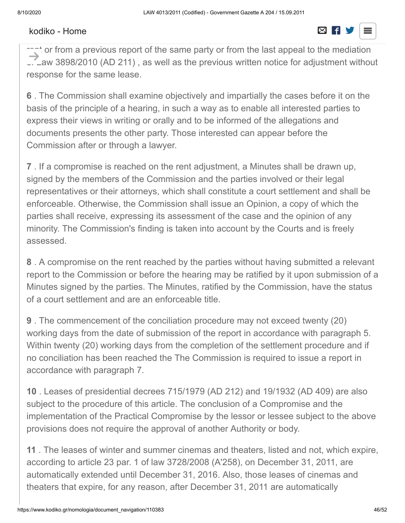#### involved. A condition for the admissibility of the petition is that two years have passed  $s_{\text{c}}$  is the lease or the last volume or  $\Box$  in the last volume or  $\Box$

rent or from a previous report of the same party or from the last appeal to the mediation L. Law 3898/2010 (AD 211), as well as the previous written notice for adjustment without response for the same lease.  $\rightarrow$ 

**6** . The Commission shall examine objectively and impartially the cases before it on the basis of the principle of a hearing, in such a way as to enable all interested parties to express their views in writing or orally and to be informed of the allegations and documents presents the other party. Those interested can appear before the Commission after or through a lawyer.

**7** . If a compromise is reached on the rent adjustment, a Minutes shall be drawn up, signed by the members of the Commission and the parties involved or their legal representatives or their attorneys, which shall constitute a court settlement and shall be enforceable. Otherwise, the Commission shall issue an Opinion, a copy of which the parties shall receive, expressing its assessment of the case and the opinion of any minority. The Commission's finding is taken into account by the Courts and is freely assessed.

**8** . A compromise on the rent reached by the parties without having submitted a relevant report to the Commission or before the hearing may be ratified by it upon submission of a Minutes signed by the parties. The Minutes, ratified by the Commission, have the status of a court settlement and are an enforceable title.

**9** . The commencement of the conciliation procedure may not exceed twenty (20) working days from the date of submission of the report in accordance with paragraph 5. Within twenty (20) working days from the completion of the settlement procedure and if no conciliation has been reached the The Commission is required to issue a report in accordance with paragraph 7.

**10** . Leases of presidential decrees 715/1979 (AD 212) and 19/1932 (AD 409) are also subject to the procedure of this article. The conclusion of a Compromise and the implementation of the Practical Compromise by the lessor or lessee subject to the above provisions does not require the approval of another Authority or body.

**11** . The leases of winter and summer cinemas and theaters, listed and not, which expire, according to article 23 par. 1 of law 3728/2008 (A'258), on December 31, 2011, are automatically extended until December 31, 2016. Also, those leases of cinemas and theaters that expire, for any reason, after December 31, 2011 are automatically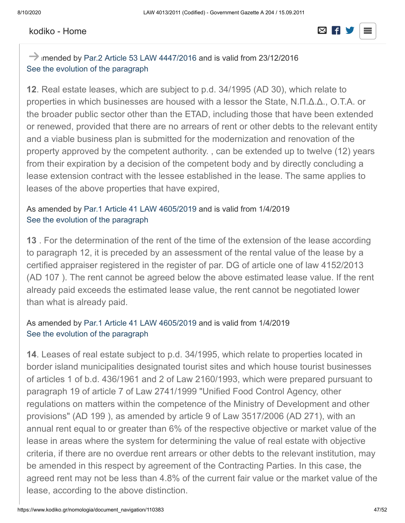#### reduce the time of publication of the time of the time of the time of the time of the time of the time of the time of the time of the time of the time of the time of the time of the time of the time of the time of the time [kodiko - Home](https://www.kodiko.gr/)

# extended, until  $\mathbb{R}$  ,  $\mathbb{R}$  ,  $\mathbb{R}$  , it is not allowed to increase the above cases, it is not allowed to increase the above cases, it is not allowed to increase the above cases, it is not allowed to increase t

### $\rightarrow$  imended by [Par.2 Article 53 LAW 4447/2016](javascript:void(0);) and is valid from 23/12/2016 [See the evolution of the paragraph](https://www.kodiko.gr/nomologia/document?id=511191)

**12**. Real estate leases, which are subject to p.d. 34/1995 (AD 30), which relate to properties in which businesses are housed with a lessor the State, Ν.Π.Δ.Δ., Ο.Τ.Α. or the broader public sector other than the ETAD, including those that have been extended or renewed, provided that there are no arrears of rent or other debts to the relevant entity and a viable business plan is submitted for the modernization and renovation of the property approved by the competent authority. , can be extended up to twelve (12) years from their expiration by a decision of the competent body and by directly concluding a lease extension contract with the lessee established in the lease. The same applies to leases of the above properties that have expired,

#### As amended by [Par.1 Article 41 LAW 4605/2019](javascript:void(0);) and is valid from 1/4/2019 [See the evolution of the paragraph](https://www.kodiko.gr/nomologia/document?id=510680)

**13** . For the determination of the rent of the time of the extension of the lease according to paragraph 12, it is preceded by an assessment of the rental value of the lease by a certified appraiser registered in the register of par. DG of article one of law 4152/2013 (AD 107 ). The rent cannot be agreed below the above estimated lease value. If the rent already paid exceeds the estimated lease value, the rent cannot be negotiated lower than what is already paid.

#### As amended by [Par.1 Article 41 LAW 4605/2019](javascript:void(0);) and is valid from 1/4/2019 [See the evolution of the paragraph](https://www.kodiko.gr/nomologia/document?id=510681)

**14**. Leases of real estate subject to p.d. 34/1995, which relate to properties located in border island municipalities designated tourist sites and which house tourist businesses of articles 1 of b.d. 436/1961 and 2 of Law 2160/1993, which were prepared pursuant to paragraph 19 of article 7 of Law 2741/1999 "Unified Food Control Agency, other regulations on matters within the competence of the Ministry of Development and other provisions" (AD 199 ), as amended by article 9 of Law 3517/2006 (AD 271), with an annual rent equal to or greater than 6% of the respective objective or market value of the lease in areas where the system for determining the value of real estate with objective criteria, if there are no overdue rent arrears or other debts to the relevant institution, may be amended in this respect by agreement of the Contracting Parties. In this case, the agreed rent may not be less than 4.8% of the current fair value or the market value of the lease, according to the above distinction.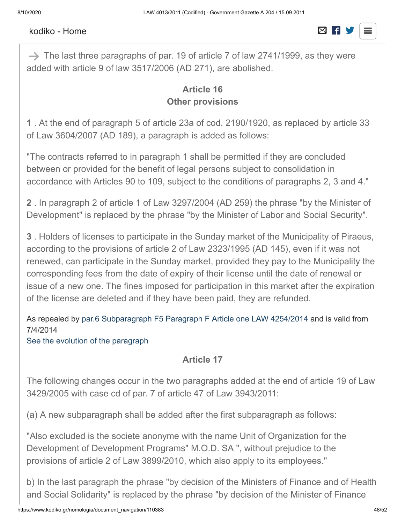# As amended by [par.4 Article 24 LAW 4255/2014](javascript:void(0);) and is valid from 11/4/2014

# $S^2$  [kodiko - Home](https://www.kodiko.gr/)  $S^2$  is the paragraph of the paragraph  $S^2$  is the paragraph of the paragraph of the paragraph of the paragraph of the paragraph of the paragraph of the paragraph of the paragraph of the paragraph of

→ The last three paragraphs of par. 19 of article 7 of law 2741/1999, as they were added with article 9 of law 3517/2006 (AD 271), are abolished.

### **Article 16 Other provisions**

**1** . At the end of paragraph 5 of article 23a of cod. 2190/1920, as replaced by article 33 of Law 3604/2007 (AD 189), a paragraph is added as follows:

"The contracts referred to in paragraph 1 shall be permitted if they are concluded between or provided for the benefit of legal persons subject to consolidation in accordance with Articles 90 to 109, subject to the conditions of paragraphs 2, 3 and 4."

**2** . In paragraph 2 of article 1 of Law 3297/2004 (AD 259) the phrase "by the Minister of Development" is replaced by the phrase "by the Minister of Labor and Social Security".

**3** . Holders of licenses to participate in the Sunday market of the Municipality of Piraeus, according to the provisions of article 2 of Law 2323/1995 (AD 145), even if it was not renewed, can participate in the Sunday market, provided they pay to the Municipality the corresponding fees from the date of expiry of their license until the date of renewal or issue of a new one. The fines imposed for participation in this market after the expiration of the license are deleted and if they have been paid, they are refunded.

As repealed by [par.6 Subparagraph F5 Paragraph F Article one LAW 4254/2014](javascript:void(0);) and is valid from 7/4/2014

[See the evolution of the paragraph](https://www.kodiko.gr/nomologia/document?id=110474)

### **Article 17**

The following changes occur in the two paragraphs added at the end of article 19 of Law 3429/2005 with case cd of par. 7 of article 47 of Law 3943/2011:

(a) A new subparagraph shall be added after the first subparagraph as follows:

"Also excluded is the societe anonyme with the name Unit of Organization for the Development of Development Programs" M.O.D. SA ", without prejudice to the provisions of article 2 of Law 3899/2010, which also apply to its employees."

b) In the last paragraph the phrase "by decision of the Ministers of Finance and of Health and Social Solidarity" is replaced by the phrase "by decision of the Minister of Finance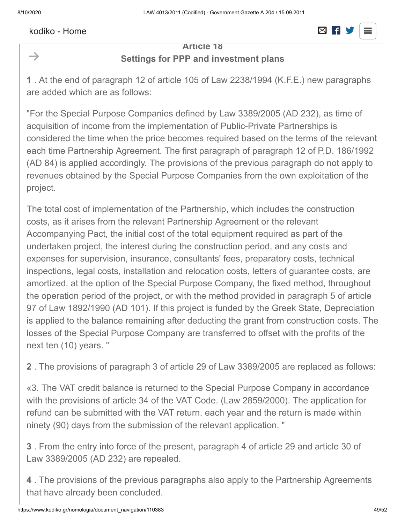$\rightarrow$ 

#### and the competent Minister, as the case may be". [kodiko - Home](https://www.kodiko.gr/)

#### **Article 18 Settings for PPP and investment plans**

**1** . At the end of paragraph 12 of article 105 of Law 2238/1994 (K.F.E.) new paragraphs are added which are as follows:

"For the Special Purpose Companies defined by Law 3389/2005 (AD 232), as time of acquisition of income from the implementation of Public-Private Partnerships is considered the time when the price becomes required based on the terms of the relevant each time Partnership Agreement. The first paragraph of paragraph 12 of P.D. 186/1992 (AD 84) is applied accordingly. The provisions of the previous paragraph do not apply to revenues obtained by the Special Purpose Companies from the own exploitation of the project.

The total cost of implementation of the Partnership, which includes the construction costs, as it arises from the relevant Partnership Agreement or the relevant Accompanying Pact, the initial cost of the total equipment required as part of the undertaken project, the interest during the construction period, and any costs and expenses for supervision, insurance, consultants' fees, preparatory costs, technical inspections, legal costs, installation and relocation costs, letters of guarantee costs, are amortized, at the option of the Special Purpose Company, the fixed method, throughout the operation period of the project, or with the method provided in paragraph 5 of article 97 of Law 1892/1990 (AD 101). If this project is funded by the Greek State, Depreciation is applied to the balance remaining after deducting the grant from construction costs. The losses of the Special Purpose Company are transferred to offset with the profits of the next ten (10) years. "

**2** . The provisions of paragraph 3 of article 29 of Law 3389/2005 are replaced as follows:

«3. The VAT credit balance is returned to the Special Purpose Company in accordance with the provisions of article 34 of the VAT Code. (Law 2859/2000). The application for refund can be submitted with the VAT return. each year and the return is made within ninety (90) days from the submission of the relevant application. "

**3** . From the entry into force of the present, paragraph 4 of article 29 and article 30 of Law 3389/2005 (AD 232) are repealed.

**4** . The provisions of the previous paragraphs also apply to the Partnership Agreements that have already been concluded.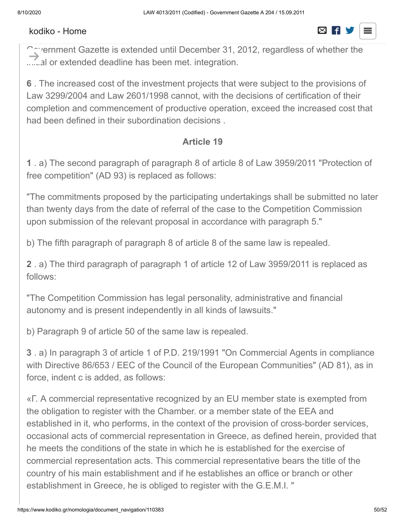#### $\frac{32}{2}$ [kodiko - Home](https://www.kodiko.gr/)  $\boxtimes$  F S



 $\cap$  are reprent gazette is extended until December 31, 2012, regardless of whether the ......al or extended deadline has been met. integration.  $\rightarrow$ 

**6** . The increased cost of the investment projects that were subject to the provisions of Law 3299/2004 and Law 2601/1998 cannot, with the decisions of certification of their completion and commencement of productive operation, exceed the increased cost that had been defined in their subordination decisions .

#### **Article 19**

**1** . a) The second paragraph of paragraph 8 of article 8 of Law 3959/2011 "Protection of free competition" (AD 93) is replaced as follows:

"The commitments proposed by the participating undertakings shall be submitted no later than twenty days from the date of referral of the case to the Competition Commission upon submission of the relevant proposal in accordance with paragraph 5."

b) The fifth paragraph of paragraph 8 of article 8 of the same law is repealed.

**2** . a) The third paragraph of paragraph 1 of article 12 of Law 3959/2011 is replaced as follows:

"The Competition Commission has legal personality, administrative and financial autonomy and is present independently in all kinds of lawsuits."

b) Paragraph 9 of article 50 of the same law is repealed.

**3** . a) In paragraph 3 of article 1 of P.D. 219/1991 "On Commercial Agents in compliance with Directive 86/653 / EEC of the Council of the European Communities" (AD 81), as in force, indent c is added, as follows:

«Γ. A commercial representative recognized by an EU member state is exempted from the obligation to register with the Chamber. or a member state of the EEA and established in it, who performs, in the context of the provision of cross-border services, occasional acts of commercial representation in Greece, as defined herein, provided that he meets the conditions of the state in which he is established for the exercise of commercial representation acts. This commercial representative bears the title of the country of his main establishment and if he establishes an office or branch or other establishment in Greece, he is obliged to register with the G.E.M.I. "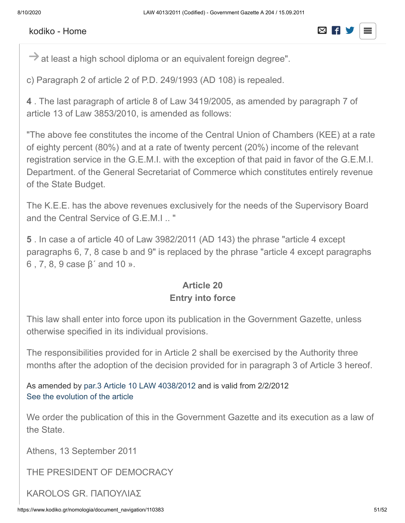#### $108$   $\mu$ [kodiko - Home](https://www.kodiko.gr/)

# $\overline{\mathbf{z}}$  of article 2 of article 2 of  $\overline{\mathbf{z}}$  of  $\overline{\mathbf{z}}$

 $\rightarrow$  at least a high school diploma or an equivalent foreign degree".

c) Paragraph 2 of article 2 of P.D. 249/1993 (AD 108) is repealed.

**4** . The last paragraph of article 8 of Law 3419/2005, as amended by paragraph 7 of article 13 of Law 3853/2010, is amended as follows:

"The above fee constitutes the income of the Central Union of Chambers (KEE) at a rate of eighty percent (80%) and at a rate of twenty percent (20%) income of the relevant registration service in the G.E.M.I. with the exception of that paid in favor of the G.E.M.I. Department. of the General Secretariat of Commerce which constitutes entirely revenue of the State Budget.

The K.E.E. has the above revenues exclusively for the needs of the Supervisory Board and the Central Service of G.E.M.I .. "

**5** . In case a of article 40 of Law 3982/2011 (AD 143) the phrase "article 4 except paragraphs 6, 7, 8 case b and 9" is replaced by the phrase "article 4 except paragraphs 6 , 7, 8, 9 case β΄ and 10 ».

## **Article 20 Entry into force**

This law shall enter into force upon its publication in the Government Gazette, unless otherwise specified in its individual provisions.

The responsibilities provided for in Article 2 shall be exercised by the Authority three months after the adoption of the decision provided for in paragraph 3 of Article 3 hereof.

As amended by [par.3 Article 10 LAW 4038/2012](javascript:void(0);) and is valid from 2/2/2012 [See the evolution of the article](https://www.kodiko.gr/nomologia/document?id=245762)

We order the publication of this in the Government Gazette and its execution as a law of the State.

Athens, 13 September 2011

THE PRESIDENT OF DEMOCRACY

KAROLOS GR. ΠΑΠΟΥΛΙΑΣ